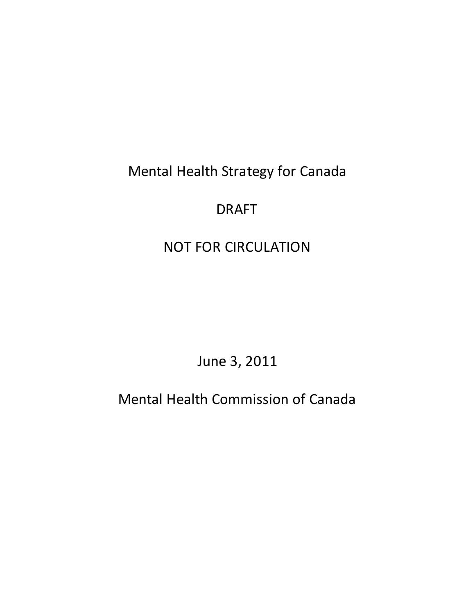Mental Health Strategy for Canada

# DRAFT

# NOT FOR CIRCULATION

June 3, 2011

Mental Health Commission of Canada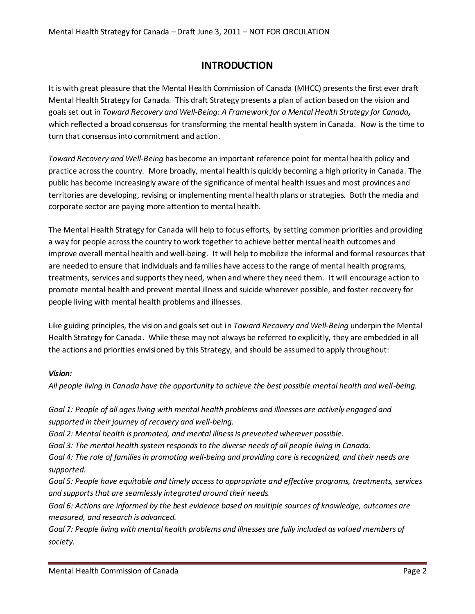# **INTRODUCTION**

It is with great pleasure that the Mental Health Commission of Canada (MHCC) presents the first ever draft Mental Health Strategy for Canada. This draft Strategy presents a plan of action based on the vision and goals set out in *Toward Recovery and Well-Being: A Framework for a Mental Health Strategy for Canada,* which reflected a broad consensus for transforming the mental health system in Canada. Now is the time to turn that consensus into commitment and action.

*Toward Recovery and Well-Being* has become an important reference point for mental health policy and practice across the country. More broadly, mental health is quickly becoming a high priority in Canada. The public has become increasingly aware of the significance of mental health issues and most provinces and territories are developing, revising or implementing mental health plans or strategies. Both the media and corporate sector are paying more attention to mental health.

The Mental Health Strategy for Canada will help to focus efforts, by setting common priorities and providing a way for people across the country to work together to achieve better mental health outcomes and improve overall mental health and well-being. It will help to mobilize the informal and formal resources that are needed to ensure that individuals and families have access to the range of mental health programs, treatments, services and supports they need, when and where they need them. It will encourage action to promote mental health and prevent mental illness and suicide wherever possible, and foster recovery for people living with mental health problems and illnesses.

Like guiding principles, the vision and goals set out in *Toward Recovery and Well-Being* underpin the Mental Health Strategy for Canada. While these may not always be referred to explicitly, they are embedded in all the actions and priorities envisioned by this Strategy, and should be assumed to apply throughout:

# *Vision:*

*All people living in Canada have the opportunity to achieve the best possible mental health and well-being.*

*Goal 1: People of all ages living with mental health problems and illnesses are actively engaged and supported in their journey of recovery and well-being.*

*Goal 2: Mental health is promoted, and mental illness is prevented wherever possible.*

*Goal 3: The mental health system responds to the diverse needs of all people living in Canada.*

*Goal 4: The role of families in promoting well-being and providing care is recognized, and their needs are supported.*

*Goal 5: People have equitable and timely access to appropriate and effective programs, treatments, services and supports that are seamlessly integrated around their needs.*

*Goal 6: Actions are informed by the best evidence based on multiple sources of knowledge, outcomes are measured, and research is advanced.*

*Goal 7: People living with mental health problems and illnesses are fully included as valued members of society.*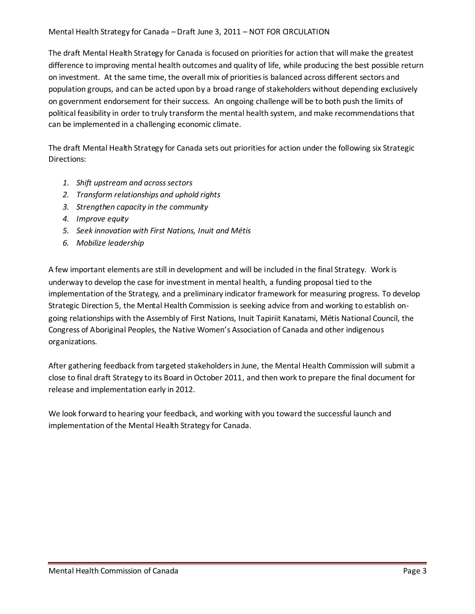#### Mental Health Strategy for Canada – Draft June 3, 2011 – NOT FOR GRCULATION

The draft Mental Health Strategy for Canada is focused on priorities for action that will make the greatest difference to improving mental health outcomes and quality of life, while producing the best possible return on investment. At the same time, the overall mix of priorities is balanced across different sectors and population groups, and can be acted upon by a broad range of stakeholders without depending exclusively on government endorsement for their success. An ongoing challenge will be to both push the limits of political feasibility in order to truly transform the mental health system, and make recommendations that can be implemented in a challenging economic climate.

The draft Mental Health Strategy for Canada sets out priorities for action under the following six Strategic Directions:

- *1. Shift upstream and across sectors*
- *2. Transform relationships and uphold rights*
- *3. Strengthen capacity in the community*
- *4. Improve equity*
- *5. Seek innovation with First Nations, Inuit and Métis*
- *6. Mobilize leadership*

A few important elements are still in development and will be included in the final Strategy. Work is underway to develop the case for investment in mental health, a funding proposal tied to the implementation of the Strategy, and a preliminary indicator framework for measuring progress. To develop Strategic Direction 5, the Mental Health Commission is seeking advice from and working to establish ongoing relationships with the Assembly of First Nations, Inuit Tapiriit Kanatami, Métis National Council, the Congress of Aboriginal Peoples, the Native Women's Association of Canada and other indigenous organizations.

After gathering feedback from targeted stakeholders in June, the Mental Health Commission will submit a close to final draft Strategy to its Board in October 2011, and then work to prepare the final document for release and implementation early in 2012.

We look forward to hearing your feedback, and working with you toward the successful launch and implementation of the Mental Health Strategy for Canada.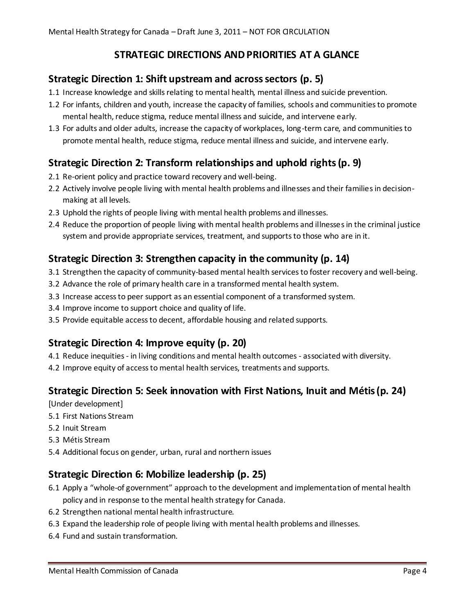# **STRATEGIC DIRECTIONS AND PRIORITIES AT A GLANCE**

# **Strategic Direction 1: Shift upstream and across sectors (p. 5)**

- 1.1 Increase knowledge and skills relating to mental health, mental illness and suicide prevention.
- 1.2 For infants, children and youth, increase the capacity of families, schools and communities to promote mental health, reduce stigma, reduce mental illness and suicide, and intervene early.
- 1.3 For adults and older adults, increase the capacity of workplaces, long-term care, and communities to promote mental health, reduce stigma, reduce mental illness and suicide, and intervene early.

# **Strategic Direction 2: Transform relationships and uphold rights(p. 9)**

- 2.1 Re-orient policy and practice toward recovery and well-being.
- 2.2 Actively involve people living with mental health problems and illnesses and their families in decisionmaking at all levels.
- 2.3 Uphold the rights of people living with mental health problems and illnesses.
- 2.4 Reduce the proportion of people living with mental health problems and illnesses in the criminal justice system and provide appropriate services, treatment, and supports to those who are in it.

# **Strategic Direction 3: Strengthen capacity in the community (p. 14)**

- 3.1 Strengthen the capacity of community-based mental health services to foster recovery and well-being.
- 3.2 Advance the role of primary health care in a transformed mental health system.
- 3.3 Increase access to peer support as an essential component of a transformed system.
- 3.4 Improve income to support choice and quality of life.
- 3.5 Provide equitable access to decent, affordable housing and related supports.

# **Strategic Direction 4: Improve equity (p. 20)**

- 4.1 Reduce inequities in living conditions and mental health outcomes associated with diversity.
- 4.2 Improve equity of access to mental health services, treatments and supports.

# **Strategic Direction 5: Seek innovation with First Nations, Inuit and Métis(p. 24)**

[Under development]

- 5.1 First Nations Stream
- 5.2 Inuit Stream
- 5.3 Métis Stream
- 5.4 Additional focus on gender, urban, rural and northern issues

# **Strategic Direction 6: Mobilize leadership (p. 25)**

- 6.1 Apply a "whole-of government" approach to the development and implementation of mental health policy and in response to the mental health strategy for Canada.
- 6.2 Strengthen national mental health infrastructure.
- 6.3 Expand the leadership role of people living with mental health problems and illnesses.
- 6.4 Fund and sustain transformation.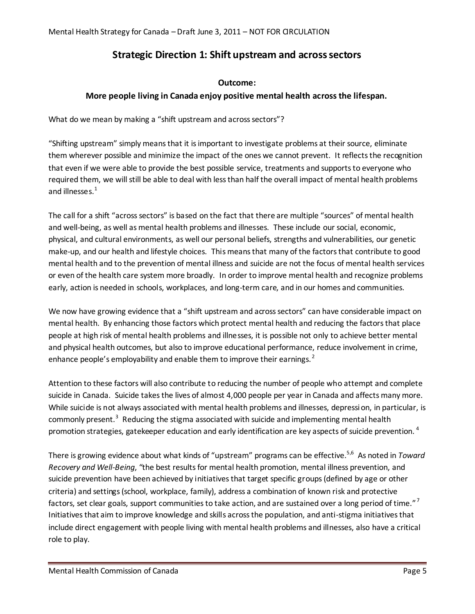# **Strategic Direction 1: Shift upstream and across sectors**

# **Outcome:**

# **More people living in Canada enjoy positive mental health across the lifespan.**

What do we mean by making a "shift upstream and across sectors"?

"Shifting upstream" simply means that it is important to investigate problems at their source, eliminate them wherever possible and minimize the impact of the ones we cannot prevent. It reflects the recognition that even if we were able to provide the best possible service, treatments and supports to everyone who required them, we will still be able to deal with less than half the overall impact of mental health problems and illnesses.<sup>1</sup>

The call for a shift "across sectors" is based on the fact that there are multiple "sources" of mental health and well-being, as well as mental health problems and illnesses. These include our social, economic, physical, and cultural environments, as well our personal beliefs, strengths and vulnerabilities, our genetic make-up, and our health and lifestyle choices. This means that many of the factors that contribute to good mental health and to the prevention of mental illness and suicide are not the focus of mental health services or even of the health care system more broadly. In order to improve mental health and recognize problems early, action is needed in schools, workplaces, and long-term care, and in our homes and communities.

We now have growing evidence that a "shift upstream and across sectors" can have considerable impact on mental health. By enhancing those factors which protect mental health and reducing the factors that place people at high risk of mental health problems and illnesses, it is possible not only to achieve better mental and physical health outcomes, but also to improve educational performance, reduce involvement in crime, enhance people's employability and enable them to improve their earnings.<sup>2</sup>

Attention to these factors will also contribute to reducing the number of people who attempt and complete suicide in Canada. Suicide takes the lives of almost 4,000 people per year in Canada and affects many more. While suicide is not always associated with mental health problems and illnesses, depression, in particular, is commonly present.<sup>3</sup> Reducing the stigma associated with suicide and implementing mental health promotion strategies, gatekeeper education and early identification are key aspects of suicide prevention.  $4$ 

There is growing evidence about what kinds of "upstream" programs can be effective.5,6 As noted in *Toward Recovery and Well-Being*, "the best results for mental health promotion, mental illness prevention, and suicide prevention have been achieved by initiatives that target specific groups (defined by age or other criteria) and settings (school, workplace, family), address a combination of known risk and protective factors, set clear goals, support communities to take action, and are sustained over a long period of time."<sup>7</sup> Initiatives that aim to improve knowledge and skills across the population, and anti-stigma initiatives that include direct engagement with people living with mental health problems and illnesses, also have a critical role to play.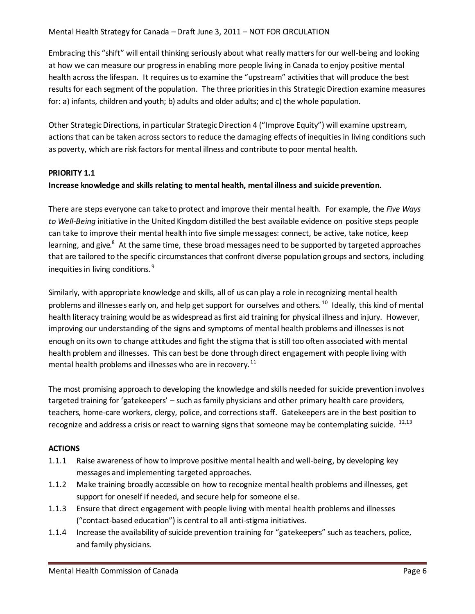#### Mental Health Strategy for Canada – Draft June 3, 2011 – NOT FOR GRCULATION

Embracing this "shift" will entail thinking seriously about what really matters for our well-being and looking at how we can measure our progress in enabling more people living in Canada to enjoy positive mental health across the lifespan. It requires us to examine the "upstream" activities that will produce the best results for each segment of the population. The three priorities in this Strategic Direction examine measures for: a) infants, children and youth; b) adults and older adults; and c) the whole population.

Other Strategic Directions, in particular Strategic Direction 4 ("Improve Equity") will examine upstream, actions that can be taken across sectors to reduce the damaging effects of inequities in living conditions such as poverty, which are risk factors for mental illness and contribute to poor mental health.

#### **PRIORITY 1.1**

#### **Increase knowledge and skills relating to mental health, mental illness and suicide prevention.**

There are steps everyone can take to protect and improve their mental health. For example, the *Five Ways to Well-Being* initiative in the United Kingdom distilled the best available evidence on positive steps people can take to improve their mental health into five simple messages: connect, be active, take notice, keep learning, and give.<sup>8</sup> At the same time, these broad messages need to be supported by targeted approaches that are tailored to the specific circumstances that confront diverse population groups and sectors, including inequities in living conditions. <sup>9</sup>

Similarly, with appropriate knowledge and skills, all of us can play a role in recognizing mental health problems and illnesses early on, and help get support for ourselves and others.<sup>10</sup> Ideally, this kind of mental health literacy training would be as widespread as first aid training for physical illness and injury. However, improving our understanding of the signs and symptoms of mental health problems and illnesses is not enough on its own to change attitudes and fight the stigma that is still too often associated with mental health problem and illnesses. This can best be done through direct engagement with people living with mental health problems and illnesses who are in recovery.<sup>11</sup>

The most promising approach to developing the knowledge and skills needed for suicide prevention involves targeted training for 'gatekeepers' – such as family physicians and other primary health care providers, teachers, home-care workers, clergy, police, and corrections staff. Gatekeepers are in the best position to recognize and address a crisis or react to warning signs that someone may be contemplating suicide.  $^{12,13}$ 

- 1.1.1 Raise awareness of how to improve positive mental health and well-being, by developing key messages and implementing targeted approaches.
- 1.1.2 Make training broadly accessible on how to recognize mental health problems and illnesses, get support for oneself if needed, and secure help for someone else.
- 1.1.3 Ensure that direct engagement with people living with mental health problems and illnesses ("contact-based education") is central to all anti-stigma initiatives.
- 1.1.4 Increase the availability of suicide prevention training for "gatekeepers" such as teachers, police, and family physicians.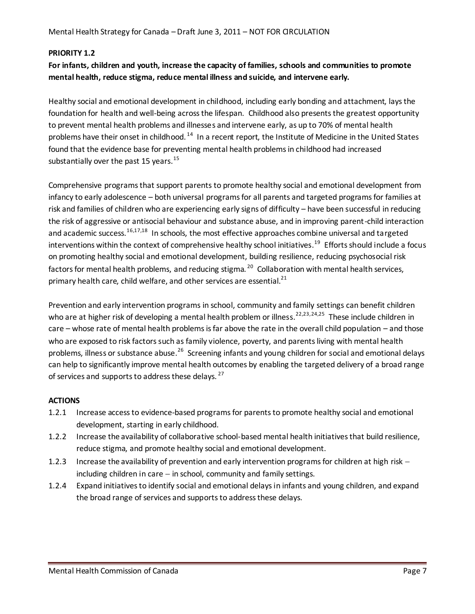# **PRIORITY 1.2**

# **For infants, children and youth, increase the capacity of families, schools and communities to promote mental health, reduce stigma, reduce mental illness and suicide, and intervene early.**

Healthy social and emotional development in childhood, including early bonding and attachment, lays the foundation for health and well-being across the lifespan. Childhood also presents the greatest opportunity to prevent mental health problems and illnesses and intervene early, as up to 70% of mental health problems have their onset in childhood.<sup>14</sup> In a recent report, the Institute of Medicine in the United States found that the evidence base for preventing mental health problems in childhood had increased substantially over the past 15 years.<sup>15</sup>

Comprehensive programs that support parents to promote healthy social and emotional development from infancy to early adolescence – both universal programs for all parents and targeted programs for families at risk and families of children who are experiencing early signs of difficulty – have been successful in reducing the risk of aggressive or antisocial behaviour and substance abuse, and in improving parent-child interaction and academic success.<sup>16,17,18</sup> In schools, the most effective approaches combine universal and targeted interventions within the context of comprehensive healthy school initiatives. 19 Efforts should include a focus on promoting healthy social and emotional development, building resilience, reducing psychosocial risk factors for mental health problems, and reducing stigma.<sup>20</sup> Collaboration with mental health services, primary health care, child welfare, and other services are essential. $^{21}$ 

Prevention and early intervention programs in school, community and family settings can benefit children who are at higher risk of developing a mental health problem or illness.<sup>22,23,24,25</sup> These include children in care – whose rate of mental health problems is far above the rate in the overall child population – and those who are exposed to risk factors such as family violence, poverty, and parents living with mental health problems, illness or substance abuse.<sup>26</sup> Screening infants and young children for social and emotional delays can help to significantly improve mental health outcomes by enabling the targeted delivery of a broad range of services and supports to address these delays.<sup>27</sup>

- 1.2.1 Increase access to evidence-based programsfor parents to promote healthy social and emotional development, starting in early childhood.
- 1.2.2 Increase the availability of collaborative school-based mental health initiatives that build resilience, reduce stigma, and promote healthy social and emotional development.
- 1.2.3 Increase the availability of prevention and early intervention programs for children at high risk including children in care  $-$  in school, community and family settings.
- 1.2.4 Expand initiatives to identify social and emotional delays in infants and young children, and expand the broad range of services and supports to address these delays.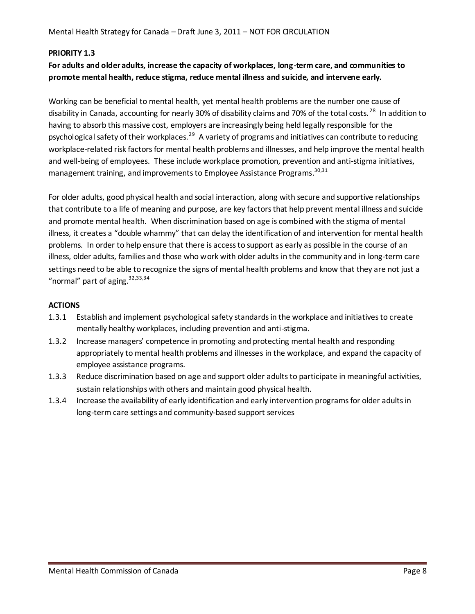#### **PRIORITY 1.3**

# **For adults and older adults, increase the capacity of workplaces, long-term care, and communities to promote mental health, reduce stigma, reduce mental illness and suicide, and intervene early.**

Working can be beneficial to mental health, yet mental health problems are the number one cause of disability in Canada, accounting for nearly 30% of disability claims and 70% of the total costs.<sup>28</sup> In addition to having to absorb this massive cost, employers are increasingly being held legally responsible for the psychological safety of their workplaces.<sup>29</sup> A variety of programs and initiatives can contribute to reducing workplace-related risk factors for mental health problems and illnesses, and help improve the mental health and well-being of employees. These include workplace promotion, prevention and anti-stigma initiatives, management training, and improvements to Employee Assistance Programs.<sup>30,31</sup>

For older adults, good physical health and social interaction, along with secure and supportive relationships that contribute to a life of meaning and purpose, are key factors that help prevent mental illness and suicide and promote mental health. When discrimination based on age is combined with the stigma of mental illness, it creates a "double whammy" that can delay the identification of and intervention for mental health problems. In order to help ensure that there is access to support as early as possible in the course of an illness, older adults, families and those who work with older adults in the community and in long-term care settings need to be able to recognize the signs of mental health problems and know that they are not just a "normal" part of aging. $32,33,34$ 

- 1.3.1 Establish and implement psychological safety standards in the workplace and initiatives to create mentally healthy workplaces, including prevention and anti-stigma.
- 1.3.2 Increase managers' competence in promoting and protecting mental health and responding appropriately to mental health problems and illnesses in the workplace, and expand the capacity of employee assistance programs.
- 1.3.3 Reduce discrimination based on age and support older adults to participate in meaningful activities, sustain relationships with others and maintain good physical health.
- 1.3.4 Increase the availability of early identification and early intervention programs for older adults in long-term care settings and community-based support services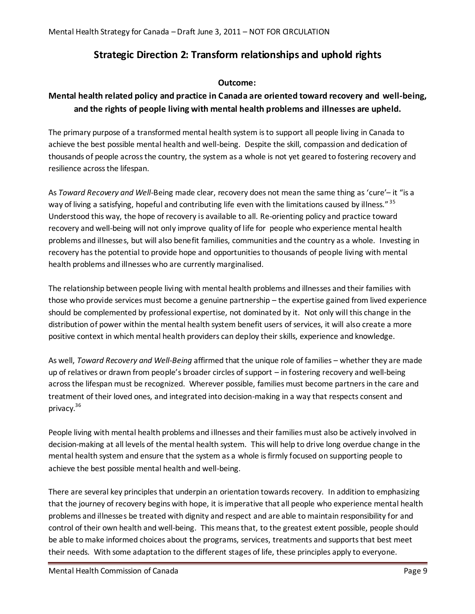# **Strategic Direction 2: Transform relationships and uphold rights**

# **Outcome:**

# **Mental health related policy and practice in Canada are oriented toward recovery and well-being, and the rights of people living with mental health problems and illnesses are upheld.**

The primary purpose of a transformed mental health system is to support all people living in Canada to achieve the best possible mental health and well-being. Despite the skill, compassion and dedication of thousands of people across the country, the system as a whole is not yet geared to fostering recovery and resilience across the lifespan.

As *Toward Recovery and Well-*Being made clear, recovery does not mean the same thing as 'cure'– it "is a way of living a satisfying, hopeful and contributing life even with the limitations caused by illness."<sup>35</sup> Understood this way, the hope of recovery is available to all. Re-orienting policy and practice toward recovery and well-being will not only improve quality of life for people who experience mental health problems and illnesses, but will also benefit families, communities and the country as a whole. Investing in recovery hasthe potential to provide hope and opportunities to thousands of people living with mental health problems and illnesses who are currently marginalised.

The relationship between people living with mental health problems and illnesses and their families with those who provide services must become a genuine partnership – the expertise gained from lived experience should be complemented by professional expertise, not dominated by it. Not only will this change in the distribution of power within the mental health system benefit users of services, it will also create a more positive context in which mental health providers can deploy their skills, experience and knowledge.

As well, *Toward Recovery and Well-Being* affirmed that the unique role of families – whether they are made up of relatives or drawn from people's broader circles of support – in fostering recovery and well-being across the lifespan must be recognized. Wherever possible, families must become partners in the care and treatment of their loved ones, and integrated into decision-making in a way that respects consent and privacy.<sup>36</sup>

People living with mental health problems and illnesses and their families must also be actively involved in decision-making at all levels of the mental health system. This will help to drive long overdue change in the mental health system and ensure that the system as a whole is firmly focused on supporting people to achieve the best possible mental health and well-being.

There are several key principles that underpin an orientation towards recovery. In addition to emphasizing that the journey of recovery begins with hope, it is imperative that all people who experience mental health problems and illnesses be treated with dignity and respect and are able to maintain responsibility for and control of their own health and well-being. This means that, to the greatest extent possible, people should be able to make informed choices about the programs, services, treatments and supports that best meet their needs. With some adaptation to the different stages of life, these principles apply to everyone.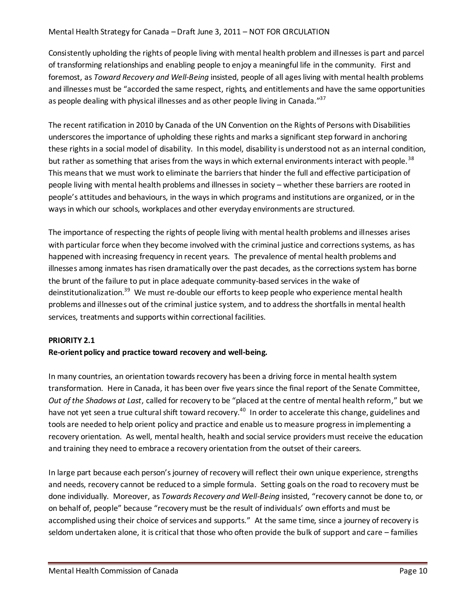#### Mental Health Strategy for Canada – Draft June 3, 2011 – NOT FOR GRCULATION

Consistently upholding the rights of people living with mental health problem and illnesses is part and parcel of transforming relationships and enabling people to enjoy a meaningful life in the community. First and foremost, as *Toward Recovery and Well-Being* insisted, people of all ages living with mental health problems and illnesses must be "accorded the same respect, rights, and entitlements and have the same opportunities as people dealing with physical illnesses and as other people living in Canada."<sup>37</sup>

The recent ratification in 2010 by Canada of the UN Convention on the Rights of Persons with Disabilities underscores the importance of upholding these rights and marks a significant step forward in anchoring these rights in a social model of disability. In this model, disability is understood not as an internal condition, but rather as something that arises from the ways in which external environments interact with people.<sup>38</sup> This means that we must work to eliminate the barriers that hinder the full and effective participation of people living with mental health problems and illnesses in society – whether these barriers are rooted in people's attitudes and behaviours, in the waysin which programs and institutions are organized, or in the ways in which our schools, workplaces and other everyday environments are structured.

The importance of respecting the rights of people living with mental health problems and illnesses arises with particular force when they become involved with the criminal justice and corrections systems, as has happened with increasing frequency in recent years. The prevalence of mental health problems and illnesses among inmates has risen dramatically over the past decades, as the corrections system has borne the brunt of the failure to put in place adequate community-based services in the wake of deinstitutionalization.<sup>39</sup> We must re-double our efforts to keep people who experience mental health problems and illnesses out of the criminal justice system, and to address the shortfalls in mental health services, treatments and supports within correctional facilities.

# **PRIORITY 2.1**

#### **Re-orient policy and practice toward recovery and well-being.**

In many countries, an orientation towards recovery has been a driving force in mental health system transformation. Here in Canada, it has been over five years since the final report of the Senate Committee, *Out of the Shadows at Last*, called for recovery to be "placed at the centre of mental health reform," but we have not yet seen a true cultural shift toward recovery.<sup>40</sup> In order to accelerate this change, guidelines and tools are needed to help orient policy and practice and enable us to measure progress in implementing a recovery orientation. As well, mental health, health and social service providers must receive the education and training they need to embrace a recovery orientation from the outset of their careers.

In large part because each person's journey of recovery will reflect their own unique experience, strengths and needs, recovery cannot be reduced to a simple formula. Setting goals on the road to recovery must be done individually. Moreover, as *Towards Recovery and Well-Being* insisted, "recovery cannot be done to, or on behalf of, people" because "recovery must be the result of individuals' own efforts and must be accomplished using their choice of services and supports." At the same time, since a journey of recovery is seldom undertaken alone, it is critical that those who often provide the bulk of support and care – families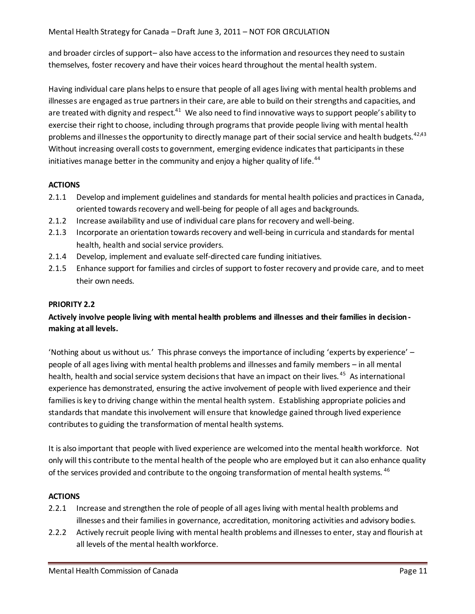and broader circles of support– also have access to the information and resources they need to sustain themselves, foster recovery and have their voices heard throughout the mental health system.

Having individual care plans helps to ensure that people of all ages living with mental health problems and illnesses are engaged as true partners in their care, are able to build on their strengths and capacities, and are treated with dignity and respect.<sup>41</sup> We also need to find innovative ways to support people's ability to exercise their right to choose, including through programs that provide people living with mental health problems and illnesses the opportunity to directly manage part of their social service and health budgets.<sup>42,43</sup> Without increasing overall costs to government, emerging evidence indicates that participants in these initiatives manage better in the community and enjoy a higher quality of life.<sup>44</sup>

# **ACTIONS**

- 2.1.1 Develop and implement guidelines and standards for mental health policies and practices in Canada, oriented towards recovery and well-being for people of all ages and backgrounds.
- 2.1.2 Increase availability and use of individual care plans for recovery and well-being.
- 2.1.3 Incorporate an orientation towards recovery and well-being in curricula and standards for mental health, health and social service providers.
- 2.1.4 Develop, implement and evaluate self-directed care funding initiatives.
- 2.1.5 Enhance support for families and circles of support to foster recovery and provide care, and to meet their own needs.

# **PRIORITY 2.2**

# **Actively involve people living with mental health problems and illnesses and their families in decision making at all levels.**

'Nothing about us without us.' This phrase conveys the importance of including 'experts by experience' – people of all ages living with mental health problems and illnesses and family members – in all mental health, health and social service system decisions that have an impact on their lives. <sup>45</sup> As international experience has demonstrated, ensuring the active involvement of people with lived experience and their families is key to driving change within the mental health system. Establishing appropriate policies and standards that mandate this involvement will ensure that knowledge gained through lived experience contributes to guiding the transformation of mental health systems.

It is also important that people with lived experience are welcomed into the mental health workforce. Not only will this contribute to the mental health of the people who are employed but it can also enhance quality of the services provided and contribute to the ongoing transformation of mental health systems. <sup>46</sup>

- 2.2.1 Increase and strengthen the role of people of all ages living with mental health problems and illnesses and their families in governance, accreditation, monitoring activities and advisory bodies.
- 2.2.2 Actively recruit people living with mental health problems and illnesses to enter, stay and flourish at all levels of the mental health workforce.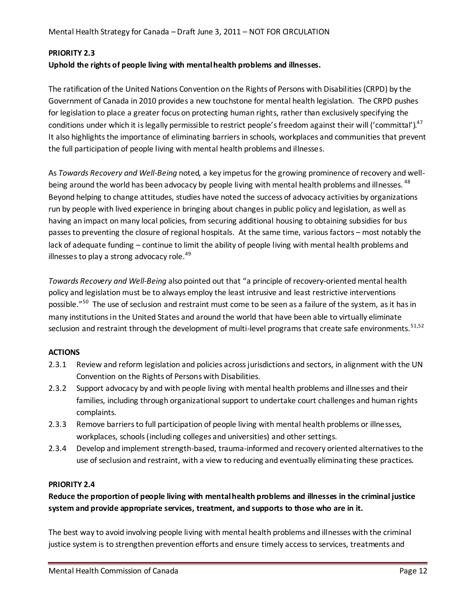# **PRIORITY 2.3**

# **Uphold the rights of people living with mental health problems and illnesses.**

The ratification of the United Nations Convention on the Rights of Persons with Disabilities (CRPD) by the Government of Canada in 2010 provides a new touchstone for mental health legislation. The CRPD pushes for legislation to place a greater focus on protecting human rights, rather than exclusively specifying the conditions under which it is legally permissible to restrict people's freedom against their will ('committal'). $^{47}$ It also highlights the importance of eliminating barriers in schools, workplaces and communities that prevent the full participation of people living with mental health problems and illnesses.

As *Towards Recovery and Well-Being* noted, a key impetus for the growing prominence of recovery and wellbeing around the world has been advocacy by people living with mental health problems and illnesses. <sup>48</sup> Beyond helping to change attitudes, studies have noted the success of advocacy activities by organizations run by people with lived experience in bringing about changes in public policy and legislation, as well as having an impact on many local policies, from securing additional housing to obtaining subsidies for bus passes to preventing the closure of regional hospitals. At the same time, various factors – most notably the lack of adequate funding – continue to limit the ability of people living with mental health problems and illnesses to play a strong advocacy role.<sup>49</sup>

*Towards Recovery and Well-Being* also pointed out that "a principle of recovery-oriented mental health policy and legislation must be to always employ the least intrusive and least restrictive interventions possible."<sup>50</sup> The use of seclusion and restraint must come to be seen as a failure of the system, as it has in many institutions in the United States and around the world that have been able to virtually eliminate seclusion and restraint through the development of multi-level programs that create safe environments.<sup>51,52</sup>

# **ACTIONS**

- 2.3.1 Review and reform legislation and policies across jurisdictions and sectors, in alignment with the UN Convention on the Rights of Persons with Disabilities.
- 2.3.2 Support advocacy by and with people living with mental health problems and illnesses and their families, including through organizational support to undertake court challenges and human rights complaints.
- 2.3.3 Remove barriers to full participation of people living with mental health problems or illnesses, workplaces, schools (including colleges and universities) and other settings.
- 2.3.4 Develop and implement strength-based, trauma-informed and recovery oriented alternatives to the use of seclusion and restraint, with a view to reducing and eventually eliminating these practices.

# **PRIORITY 2.4**

# **Reduce the proportion of people living with mental health problems and illnesses in the criminal justice system and provide appropriate services, treatment, and supports to those who are in it.**

The best way to avoid involving people living with mental health problems and illnesses with the criminal justice system is to strengthen prevention efforts and ensure timely access to services, treatments and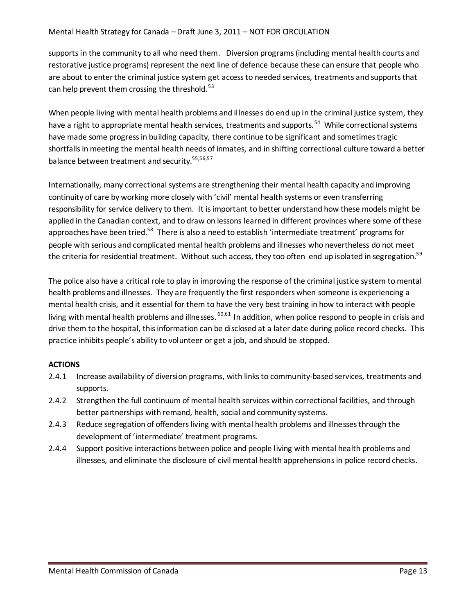#### Mental Health Strategy for Canada – Draft June 3, 2011 – NOT FOR GRCULATION

supports in the community to all who need them. Diversion programs (including mental health courts and restorative justice programs) represent the next line of defence because these can ensure that people who are about to enter the criminal justice system get access to needed services, treatments and supports that can help prevent them crossing the threshold.<sup>53</sup>

When people living with mental health problems and illnesses do end up in the criminal justice system, they have a right to appropriate mental health services, treatments and supports.<sup>54</sup> While correctional systems have made some progress in building capacity, there continue to be significant and sometimes tragic shortfalls in meeting the mental health needs of inmates, and in shifting correctional culture toward a better balance between treatment and security.<sup>55,56,57</sup>

Internationally, many correctional systems are strengthening their mental health capacity and improving continuity of care by working more closely with 'civil' mental health systems or even transferring responsibility for service delivery to them. It is important to better understand how these models might be applied in the Canadian context, and to draw on lessons learned in different provinces where some of these approaches have been tried.<sup>58</sup> There is also a need to establish 'intermediate treatment' programs for people with serious and complicated mental health problems and illnesses who nevertheless do not meet the criteria for residential treatment. Without such access, they too often end up isolated in segregation.<sup>59</sup>

The police also have a critical role to play in improving the response of the criminal justice system to mental health problems and illnesses. They are frequently the first responders when someone is experiencing a mental health crisis, and it essential for them to have the very best training in how to interact with people living with mental health problems and illnesses. <sup>60,61</sup> In addition, when police respond to people in crisis and drive them to the hospital, this information can be disclosed at a later date during police record checks. This practice inhibits people's ability to volunteer or get a job, and should be stopped.

- 2.4.1 Increase availability of diversion programs, with links to community-based services, treatments and supports.
- 2.4.2 Strengthen the full continuum of mental health services within correctional facilities, and through better partnerships with remand, health, social and community systems.
- 2.4.3 Reduce segregation of offenders living with mental health problems and illnesses through the development of 'intermediate' treatment programs.
- 2.4.4 Support positive interactions between police and people living with mental health problems and illnesses, and eliminate the disclosure of civil mental health apprehensions in police record checks.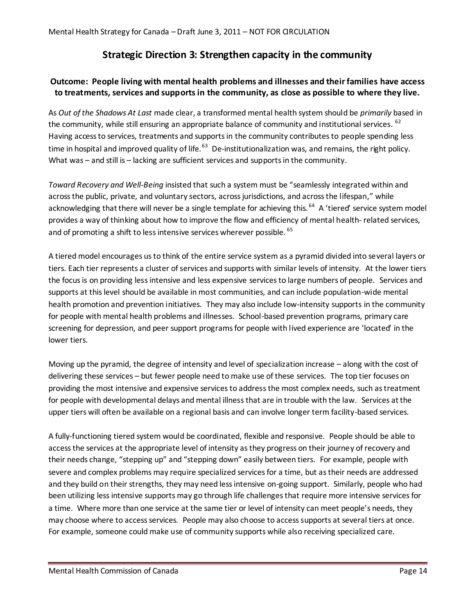# **Strategic Direction 3: Strengthen capacity in the community**

# **Outcome: People living with mental health problems and illnesses and their families have access to treatments, services and supports in the community, as close as possible to where they live.**

As *Out of the Shadows At Last* made clear, a transformed mental health system should be *primarily* based in the community, while still ensuring an appropriate balance of community and institutional services. <sup>62</sup> Having access to services, treatments and supports in the community contributes to people spending less time in hospital and improved quality of life.<sup>63</sup> De-institutionalization was, and remains, the right policy. What was – and still is – lacking are sufficient services and supports in the community.

*Toward Recovery and Well-Being* insisted that such a system must be "seamlessly integrated within and across the public, private, and voluntary sectors, across jurisdictions, and across the lifespan," while acknowledging that there will never be a single template for achieving this.<sup>64</sup> A 'tiered' service system model provides a way of thinking about how to improve the flow and efficiency of mental health- related services, and of promoting a shift to less intensive services wherever possible. <sup>65</sup>

A tiered model encourages us to think of the entire service system as a pyramid divided into several layers or tiers. Each tier represents a cluster of services and supports with similar levels of intensity. At the lower tiers the focus is on providing less intensive and less expensive services to large numbers of people. Services and supports at this level should be available in most communities, and can include population-wide mental health promotion and prevention initiatives. They may also include low-intensity supports in the community for people with mental health problems and illnesses. School-based prevention programs, primary care screening for depression, and peer support programs for people with lived experience are 'located' in the lower tiers.

Moving up the pyramid, the degree of intensity and level of specialization increase – along with the cost of delivering these services – but fewer people need to make use of these services. The top tier focuses on providing the most intensive and expensive services to address the most complex needs, such as treatment for people with developmental delays and mental illness that are in trouble with the law. Services at the upper tiers will often be available on a regional basis and can involve longer term facility-based services.

A fully-functioning tiered system would be coordinated, flexible and responsive. People should be able to access the services at the appropriate level of intensity as they progress on their journey of recovery and their needs change, "stepping up" and "stepping down" easily between tiers. For example, people with severe and complex problems may require specialized services for a time, but as their needs are addressed and they build on their strengths, they may need less intensive on-going support. Similarly, people who had been utilizing less intensive supports may go through life challenges that require more intensive services for a time. Where more than one service at the same tier or level of intensity can meet people's needs, they may choose where to access services. People may also choose to access supports at several tiers at once. For example, someone could make use of community supports while also receiving specialized care.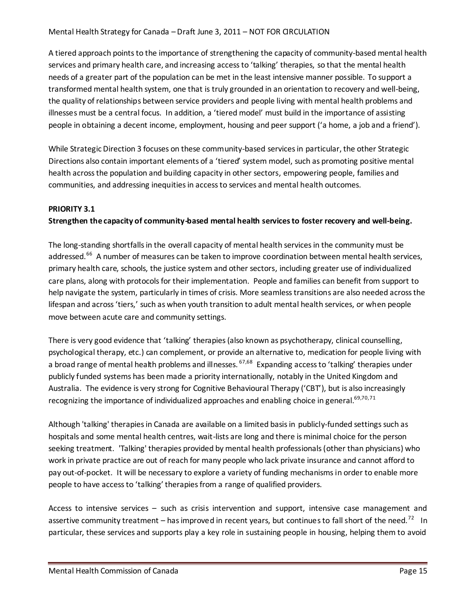A tiered approach points to the importance of strengthening the capacity of community-based mental health services and primary health care, and increasing access to 'talking' therapies, so that the mental health needs of a greater part of the population can be met in the least intensive manner possible. To support a transformed mental health system, one that is truly grounded in an orientation to recovery and well-being, the quality of relationships between service providers and people living with mental health problems and illnesses must be a central focus. In addition, a 'tiered model' must build in the importance of assisting people in obtaining a decent income, employment, housing and peer support ('a home, a job and a friend').

While Strategic Direction 3 focuses on these community-based services in particular, the other Strategic Directions also contain important elements of a 'tiered' system model, such as promoting positive mental health across the population and building capacity in other sectors, empowering people, families and communities, and addressing inequities in access to services and mental health outcomes.

#### **PRIORITY 3.1**

# **Strengthen the capacity of community-based mental health services to foster recovery and well-being.**

The long-standing shortfalls in the overall capacity of mental health services in the community must be addressed.<sup>66</sup> A number of measures can be taken to improve coordination between mental health services, primary health care, schools, the justice system and other sectors, including greater use of individualized care plans, along with protocols for their implementation. People and families can benefit from support to help navigate the system, particularly in times of crisis. More seamless transitions are also needed across the lifespan and across 'tiers,' such as when youth transition to adult mental health services, or when people move between acute care and community settings.

There is very good evidence that 'talking' therapies (also known as psychotherapy, clinical counselling, psychological therapy, etc.) can complement, or provide an alternative to, medication for people living with a broad range of mental health problems and illnesses. <sup>67,68</sup> Expanding access to 'talking' therapies under publicly funded systems has been made a priority internationally, notably in the United Kingdom and Australia. The evidence is very strong for Cognitive Behavioural Therapy ('CBT'), but is also increasingly recognizing the importance of individualized approaches and enabling choice in general.<sup>69,70,71</sup>

Although 'talking' therapies in Canada are available on a limited basis in publicly-funded settings such as hospitals and some mental health centres, wait-lists are long and there is minimal choice for the person seeking treatment. 'Talking' therapies provided by mental health professionals (other than physicians) who work in private practice are out of reach for many people who lack private insurance and cannot afford to pay out-of-pocket. It will be necessary to explore a variety of funding mechanisms in order to enable more people to have access to 'talking' therapies from a range of qualified providers.

Access to intensive services – such as crisis intervention and support, intensive case management and assertive community treatment – has improved in recent years, but continues to fall short of the need.<sup>72</sup> In particular, these services and supports play a key role in sustaining people in housing, helping them to avoid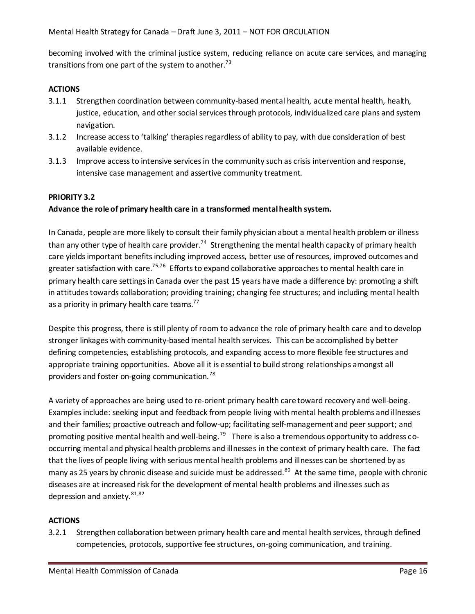becoming involved with the criminal justice system, reducing reliance on acute care services, and managing transitions from one part of the system to another.<sup>73</sup>

### **ACTIONS**

- 3.1.1 Strengthen coordination between community-based mental health, acute mental health, health, justice, education, and other social services through protocols, individualized care plans and system navigation.
- 3.1.2 Increase access to 'talking' therapies regardless of ability to pay, with due consideration of best available evidence.
- 3.1.3 Improve access to intensive services in the community such as crisis intervention and response, intensive case management and assertive community treatment.

#### **PRIORITY 3.2**

# **Advance the role of primary health care in a transformed mental health system.**

In Canada, people are more likely to consult their family physician about a mental health problem or illness than any other type of health care provider.<sup>74</sup> Strengthening the mental health capacity of primary health care yields important benefits including improved access, better use of resources, improved outcomes and greater satisfaction with care.<sup>75,76</sup> Efforts to expand collaborative approaches to mental health care in primary health care settings in Canada over the past 15 years have made a difference by: promoting a shift in attitudes towards collaboration; providing training; changing fee structures; and including mental health as a priority in primary health care teams.<sup>77</sup>

Despite this progress, there is still plenty of room to advance the role of primary health care and to develop stronger linkages with community-based mental health services. This can be accomplished by better defining competencies, establishing protocols, and expanding access to more flexible fee structures and appropriate training opportunities. Above all it is essential to build strong relationships amongst all providers and foster on-going communication.<sup>78</sup>

A variety of approaches are being used to re-orient primary health care toward recovery and well-being. Examples include: seeking input and feedback from people living with mental health problems and illnesses and their families; proactive outreach and follow-up; facilitating self-management and peer support; and promoting positive mental health and well-being.<sup>79</sup> There is also a tremendous opportunity to address cooccurring mental and physical health problems and illnesses in the context of primary health care. The fact that the lives of people living with serious mental health problems and illnesses can be shortened by as many as 25 years by chronic disease and suicide must be addressed.<sup>80</sup> At the same time, people with chronic diseases are at increased risk for the development of mental health problems and illnesses such as depression and anxiety.  $81,82$ 

#### **ACTIONS**

3.2.1 Strengthen collaboration between primary health care and mental health services, through defined competencies, protocols, supportive fee structures, on-going communication, and training.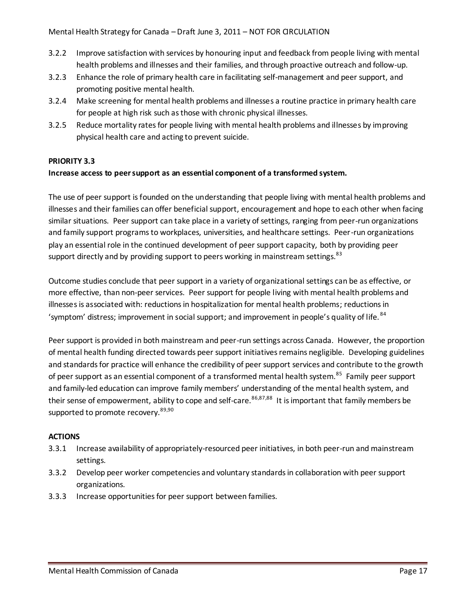- 3.2.2 Improve satisfaction with services by honouring input and feedback from people living with mental health problems and illnesses and their families, and through proactive outreach and follow-up.
- 3.2.3 Enhance the role of primary health care in facilitating self-management and peer support, and promoting positive mental health.
- 3.2.4 Make screening for mental health problems and illnesses a routine practice in primary health care for people at high risk such as those with chronic physical illnesses.
- 3.2.5 Reduce mortality rates for people living with mental health problems and illnesses by improving physical health care and acting to prevent suicide.

# **PRIORITY 3.3**

# **Increase access to peer support as an essential component of a transformed system.**

The use of peer support is founded on the understanding that people living with mental health problems and illnesses and their families can offer beneficial support, encouragement and hope to each other when facing similar situations. Peer support can take place in a variety of settings, ranging from peer-run organizations and family support programs to workplaces, universities, and healthcare settings. Peer-run organizations play an essential role in the continued development of peer support capacity, both by providing peer support directly and by providing support to peers working in mainstream settings.<sup>83</sup>

Outcome studies conclude that peer support in a variety of organizational settings can be as effective, or more effective, than non-peer services. Peer support for people living with mental health problems and illnesses is associated with: reductions in hospitalization for mental health problems; reductions in 'symptom' distress; improvement in social support; and improvement in people's quality of life. 84

Peer support is provided in both mainstream and peer-run settings across Canada. However, the proportion of mental health funding directed towards peer support initiatives remains negligible. Developing guidelines and standards for practice will enhance the credibility of peer support services and contribute to the growth of peer support as an essential component of a transformed mental health system.<sup>85</sup> Family peer support and family-led education can improve family members' understanding of the mental health system, and their sense of empowerment, ability to cope and self-care.<sup>86,87,88</sup> It is important that family members be supported to promote recovery.<sup>89,90</sup>

- 3.3.1 Increase availability of appropriately-resourced peer initiatives, in both peer-run and mainstream settings.
- 3.3.2 Develop peer worker competencies and voluntary standards in collaboration with peer support organizations.
- 3.3.3 Increase opportunities for peer support between families.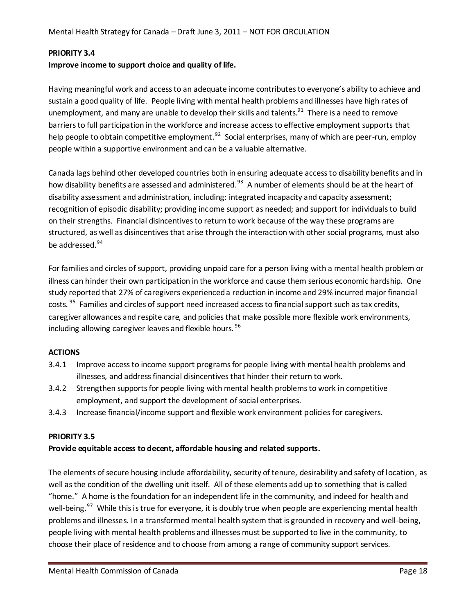#### **PRIORITY 3.4**

#### **Improve income to support choice and quality of life.**

Having meaningful work and access to an adequate income contributes to everyone's ability to achieve and sustain a good quality of life. People living with mental health problems and illnesses have high rates of unemployment, and many are unable to develop their skills and talents.<sup>91</sup> There is a need to remove barriers to full participation in the workforce and increase access to effective employment supports that help people to obtain competitive employment.<sup>92</sup> Social enterprises, many of which are peer-run, employ people within a supportive environment and can be a valuable alternative.

Canada lags behind other developed countries both in ensuring adequate access to disability benefits and in how disability benefits are assessed and administered.<sup>93</sup> A number of elements should be at the heart of disability assessment and administration, including: integrated incapacity and capacity assessment; recognition of episodic disability; providing income support as needed; and support for individuals to build on their strengths. Financial disincentives to return to work because of the way these programs are structured, as well as disincentives that arise through the interaction with other social programs, must also be addressed.<sup>94</sup>

For families and circles of support, providing unpaid care for a person living with a mental health problem or illness can hinder their own participation in the workforce and cause them serious economic hardship. One study reported that 27% of caregivers experienceda reduction in income and 29% incurred major financial costs. <sup>95</sup> Families and circles of support need increased access to financial support such as tax credits, caregiver allowances and respite care, and policies that make possible more flexible work environments, including allowing caregiver leaves and flexible hours. <sup>96</sup>

#### **ACTIONS**

- 3.4.1 Improve access to income support programs for people living with mental health problems and illnesses, and address financial disincentives that hinder their return to work.
- 3.4.2 Strengthen supports for people living with mental health problems to work in competitive employment, and support the development of social enterprises.
- 3.4.3 Increase financial/income support and flexible work environment policies for caregivers.

#### **PRIORITY 3.5**

# **Provide equitable access to decent, affordable housing and related supports.**

The elements of secure housing include affordability, security of tenure, desirability and safety of location, as well asthe condition of the dwelling unit itself. All of these elements add up to something that is called "home." A home is the foundation for an independent life in the community, and indeed for health and well-being.<sup>97</sup> While this is true for everyone, it is doubly true when people are experiencing mental health problems and illnesses. In a transformed mental health system that is grounded in recovery and well-being, people living with mental health problems and illnesses must be supported to live in the community, to choose their place of residence and to choose from among a range of community support services.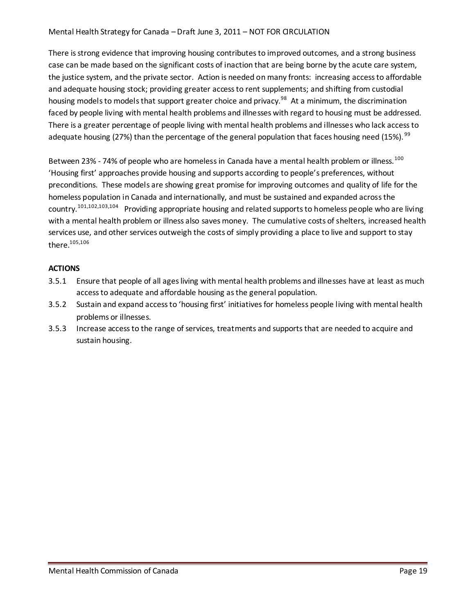### Mental Health Strategy for Canada – Draft June 3, 2011 – NOT FOR GRCULATION

There is strong evidence that improving housing contributes to improved outcomes, and a strong business case can be made based on the significant costs of inaction that are being borne by the acute care system, the justice system, and the private sector. Action is needed on many fronts: increasing access to affordable and adequate housing stock; providing greater access to rent supplements; and shifting from custodial housing models to models that support greater choice and privacy.<sup>98</sup> At a minimum, the discrimination faced by people living with mental health problems and illnesses with regard to housing must be addressed. There is a greater percentage of people living with mental health problems and illnesses who lack access to adequate housing (27%) than the percentage of the general population that faces housing need (15%). <sup>99</sup>

Between 23% - 74% of people who are homeless in Canada have a mental health problem or illness.<sup>100</sup> 'Housing first' approaches provide housing and supports according to people's preferences, without preconditions. These models are showing great promise for improving outcomes and quality of life for the homeless population in Canada and internationally, and must be sustained and expanded across the country.<sup>101,102,103,104</sup> Providing appropriate housing and related supports to homeless people who are living with a mental health problem or illness also saves money. The cumulative costs of shelters, increased health services use, and other services outweigh the costs of simply providing a place to live and support to stay there.<sup>105,106</sup>

- 3.5.1 Ensure that people of all ages living with mental health problems and illnesses have at least as much access to adequate and affordable housing as the general population.
- 3.5.2 Sustain and expand access to 'housing first' initiatives for homeless people living with mental health problems or illnesses.
- 3.5.3 Increase access to the range of services, treatments and supports that are needed to acquire and sustain housing.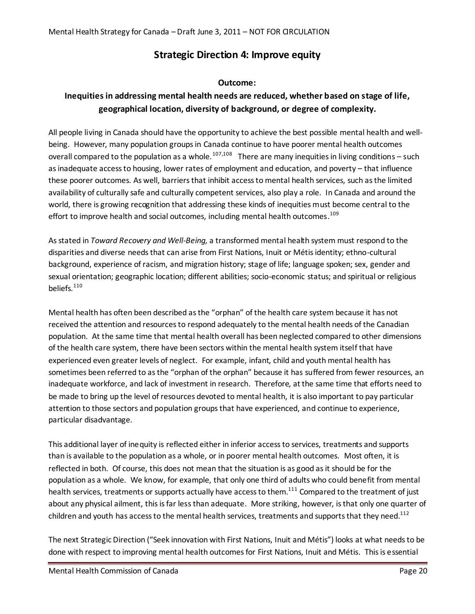# **Strategic Direction 4: Improve equity**

# **Outcome:**

# **Inequities in addressing mental health needs are reduced, whether based on stage of life, geographical location, diversity of background, or degree of complexity.**

All people living in Canada should have the opportunity to achieve the best possible mental health and wellbeing. However, many population groups in Canada continue to have poorer mental health outcomes overall compared to the population as a whole.<sup>107,108</sup> There are many inequities in living conditions – such as inadequate access to housing, lower rates of employment and education, and poverty – that influence these poorer outcomes. As well, barriers that inhibit access to mental health services, such as the limited availability of culturally safe and culturally competent services, also play a role. In Canada and around the world, there is growing recognition that addressing these kinds of inequities must become central to the effort to improve health and social outcomes, including mental health outcomes.<sup>109</sup>

As stated in *Toward Recovery and Well-Being,* a transformed mental health system must respond to the disparities and diverse needs that can arise from First Nations, Inuit or Métis identity; ethno-cultural background, experience of racism, and migration history; stage of life; language spoken; sex, gender and sexual orientation; geographic location; different abilities; socio-economic status; and spiritual or religious beliefs. $110$ 

Mental health has often been described as the "orphan" of the health care system because it has not received the attention and resources to respond adequately to the mental health needs of the Canadian population. At the same time that mental health overall has been neglected compared to other dimensions of the health care system, there have been sectors within the mental health system itself that have experienced even greater levels of neglect. For example, infant, child and youth mental health has sometimes been referred to as the "orphan of the orphan" because it has suffered from fewer resources, an inadequate workforce, and lack of investment in research. Therefore, at the same time that efforts need to be made to bring up the level of resources devoted to mental health, it is also important to pay particular attention to those sectors and population groups that have experienced, and continue to experience, particular disadvantage.

This additional layer of inequity is reflected either in inferior access to services, treatments and supports than is available to the population as a whole, or in poorer mental health outcomes. Most often, it is reflected in both. Of course, this does not mean that the situation is as good as it should be for the population as a whole. We know, for example, that only one third of adults who could benefit from mental health services, treatments or supports actually have access to them.<sup>111</sup> Compared to the treatment of just about any physical ailment, this is far less than adequate. More striking, however, is that only one quarter of children and youth has access to the mental health services, treatments and supports that they need.<sup>112</sup>

The next Strategic Direction ("Seek innovation with First Nations, Inuit and Métis") looks at what needs to be done with respect to improving mental health outcomes for First Nations, Inuit and Métis. This is essential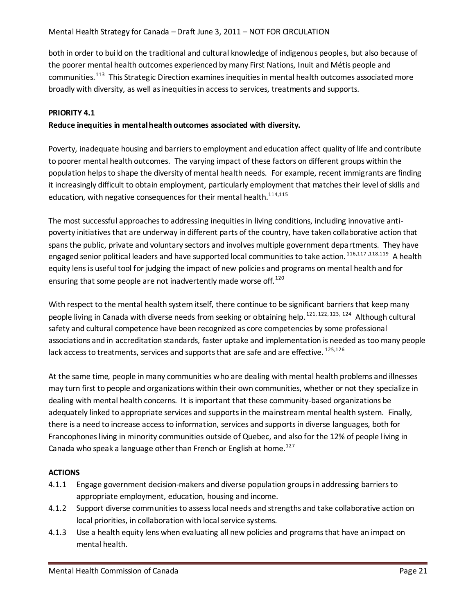both in order to build on the traditional and cultural knowledge of indigenous peoples, but also because of the poorer mental health outcomes experienced by many First Nations, Inuit and Métis people and communities.<sup>113</sup> This Strategic Direction examines inequities in mental health outcomes associated more broadly with diversity, as well as inequities in access to services, treatments and supports.

#### **PRIORITY 4.1**

#### **Reduce inequities in mental health outcomes associated with diversity.**

Poverty, inadequate housing and barriers to employment and education affect quality of life and contribute to poorer mental health outcomes. The varying impact of these factors on different groups within the population helps to shape the diversity of mental health needs. For example, recent immigrants are finding it increasingly difficult to obtain employment, particularly employment that matches their level of skills and education, with negative consequences for their mental health.<sup>114,115</sup>

The most successful approaches to addressing inequities in living conditions, including innovative antipoverty initiatives that are underway in different parts of the country, have taken collaborative action that spans the public, private and voluntary sectors and involves multiple government departments. They have engaged senior political leaders and have supported local communities to take action.<sup>116,117,118,119</sup> A health equity lens is useful tool for judging the impact of new policies and programs on mental health and for ensuring that some people are not inadvertently made worse off. $120$ 

With respect to the mental health system itself, there continue to be significant barriers that keep many people living in Canada with diverse needs from seeking or obtaining help.<sup>121, 122, 123, 124</sup> Although cultural safety and cultural competence have been recognized as core competencies by some professional associations and in accreditation standards, faster uptake and implementation is needed as too many people lack access to treatments, services and supports that are safe and are effective. 125,126

At the same time, people in many communities who are dealing with mental health problems and illnesses may turn first to people and organizations within their own communities, whether or not they specialize in dealing with mental health concerns. It is important that these community-based organizations be adequately linked to appropriate services and supports in the mainstream mental health system. Finally, there is a need to increase access to information, services and supports in diverse languages, both for Francophones living in minority communities outside of Quebec, and also for the 12% of people living in Canada who speak a language other than French or English at home.<sup>127</sup>

- 4.1.1 Engage government decision-makers and diverse population groups in addressing barriers to appropriate employment, education, housing and income.
- 4.1.2 Support diverse communities to assess local needs and strengths and take collaborative action on local priorities, in collaboration with local service systems.
- 4.1.3 Use a health equity lens when evaluating all new policies and programs that have an impact on mental health.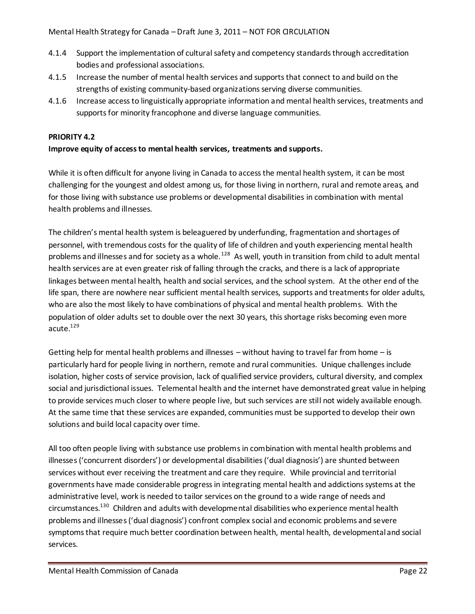- 4.1.4 Support the implementation of cultural safety and competency standards through accreditation bodies and professional associations.
- 4.1.5 Increase the number of mental health services and supports that connect to and build on the strengths of existing community-based organizations serving diverse communities.
- 4.1.6 Increase access to linguistically appropriate information and mental health services, treatments and supports for minority francophone and diverse language communities.

# **PRIORITY 4.2**

#### **Improve equity of access to mental health services, treatments and supports.**

While it is often difficult for anyone living in Canada to access the mental health system, it can be most challenging for the youngest and oldest among us, for those living in northern, rural and remote areas, and for those living with substance use problems or developmental disabilities in combination with mental health problems and illnesses.

The children's mental health system is beleaguered by underfunding, fragmentation and shortages of personnel, with tremendous costs for the quality of life of children and youth experiencing mental health problems and illnesses and for society as a whole.<sup>128</sup> As well, youth in transition from child to adult mental health services are at even greater risk of falling through the cracks, and there is a lack of appropriate linkages between mental health, health and social services, and the school system. At the other end of the life span, there are nowhere near sufficient mental health services, supports and treatments for older adults, who are also the most likely to have combinations of physical and mental health problems. With the population of older adults set to double over the next 30 years, this shortage risks becoming even more acute. $^{129}$ 

Getting help for mental health problems and illnesses – without having to travel far from home – is particularly hard for people living in northern, remote and rural communities. Unique challenges include isolation, higher costs of service provision, lack of qualified service providers, cultural diversity, and complex social and jurisdictional issues. Telemental health and the internet have demonstrated great value in helping to provide services much closer to where people live, but such services are still not widely available enough. At the same time that these services are expanded, communities must be supported to develop their own solutions and build local capacity over time.

All too often people living with substance use problems in combination with mental health problems and illnesses ('concurrent disorders') or developmental disabilities ('dual diagnosis') are shunted between services without ever receiving the treatment and care they require. While provincial and territorial governments have made considerable progress in integrating mental health and addictions systems at the administrative level, work is needed to tailor services on the ground to a wide range of needs and circumstances.<sup>130</sup> Children and adults with developmental disabilities who experience mental health problems and illnesses ('dual diagnosis') confront complex social and economic problems and severe symptoms that require much better coordination between health, mental health, developmental and social services.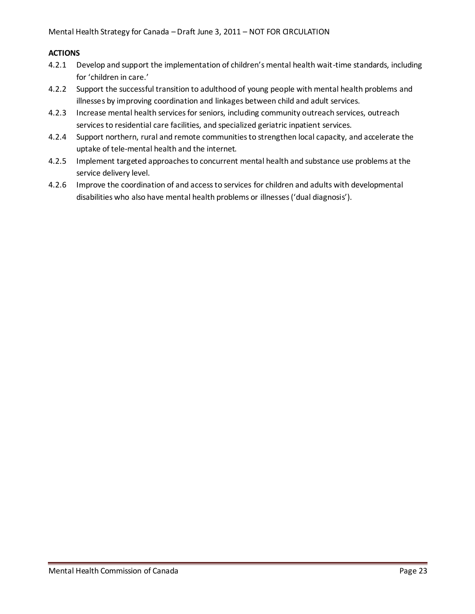- 4.2.1 Develop and support the implementation of children's mental health wait-time standards, including for 'children in care.'
- 4.2.2 Support the successful transition to adulthood of young people with mental health problems and illnesses by improving coordination and linkages between child and adult services.
- 4.2.3 Increase mental health services for seniors, including community outreach services, outreach services to residential care facilities, and specialized geriatric inpatient services.
- 4.2.4 Support northern, rural and remote communities to strengthen local capacity, and accelerate the uptake of tele-mental health and the internet.
- 4.2.5 Implement targeted approaches to concurrent mental health and substance use problems at the service delivery level.
- 4.2.6 Improve the coordination of and access to services for children and adults with developmental disabilities who also have mental health problems or illnesses ('dual diagnosis').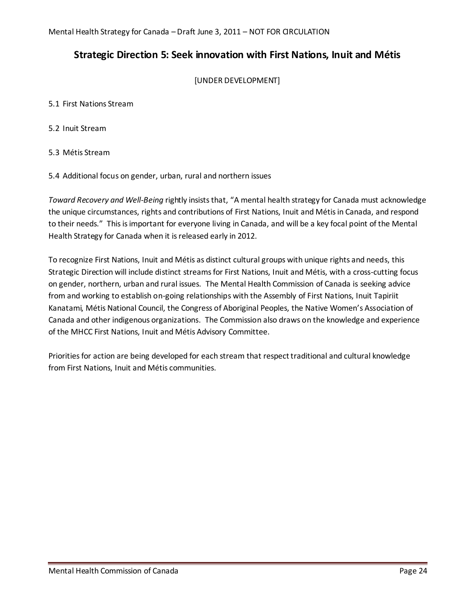# **Strategic Direction 5: Seek innovation with First Nations, Inuit and Métis**

[UNDER DEVELOPMENT]

5.1 First Nations Stream

5.2 Inuit Stream

5.3 Métis Stream

5.4 Additional focus on gender, urban, rural and northern issues

*Toward Recovery and Well-Being* rightly insists that, "A mental health strategy for Canada must acknowledge the unique circumstances, rights and contributions of First Nations, Inuit and Métis in Canada, and respond to their needs." This is important for everyone living in Canada, and will be a key focal point of the Mental Health Strategy for Canada when it is released early in 2012.

To recognize First Nations, Inuit and Métis as distinct cultural groups with unique rights and needs, this Strategic Direction will include distinct streams for First Nations, Inuit and Métis, with a cross-cutting focus on gender, northern, urban and rural issues. The Mental Health Commission of Canada is seeking advice from and working to establish on-going relationships with the Assembly of First Nations, Inuit Tapiriit Kanatami, Métis National Council, the Congress of Aboriginal Peoples, the Native Women's Association of Canada and other indigenous organizations. The Commission also draws on the knowledge and experience of the MHCC First Nations, Inuit and Métis Advisory Committee.

Priorities for action are being developed for each stream that respect traditional and cultural knowledge from First Nations, Inuit and Métis communities.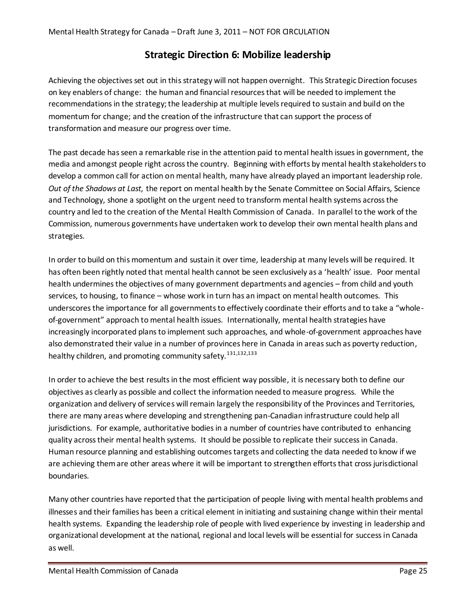# **Strategic Direction 6: Mobilize leadership**

Achieving the objectives set out in this strategy will not happen overnight. This Strategic Direction focuses on key enablers of change: the human and financial resources that will be needed to implement the recommendations in the strategy; the leadership at multiple levels required to sustain and build on the momentum for change; and the creation of the infrastructure that can support the process of transformation and measure our progress over time.

The past decade has seen a remarkable rise in the attention paid to mental health issues in government, the media and amongst people right across the country. Beginning with efforts by mental health stakeholders to develop a common call for action on mental health, many have already played an important leadership role. *Out of the Shadows at Last,* the report on mental health by the Senate Committee on Social Affairs, Science and Technology, shone a spotlight on the urgent need to transform mental health systems across the country and led to the creation of the Mental Health Commission of Canada. In parallel to the work of the Commission, numerous governments have undertaken work to develop their own mental health plans and strategies.

In order to build on this momentum and sustain it over time, leadership at many levels will be required. It has often been rightly noted that mental health cannot be seen exclusively as a 'health' issue. Poor mental health undermines the objectives of many government departments and agencies – from child and youth services, to housing, to finance – whose work in turn has an impact on mental health outcomes. This underscores the importance for all governments to effectively coordinate their efforts and to take a "wholeof-government" approach to mental health issues. Internationally, mental health strategies have increasingly incorporated plans to implement such approaches, and whole-of-government approaches have also demonstrated their value in a number of provinces here in Canada in areas such as poverty reduction, healthy children, and promoting community safety.<sup>131,132,133</sup>

In order to achieve the best results in the most efficient way possible, it is necessary both to define our objectives as clearly as possible and collect the information needed to measure progress. While the organization and delivery of services will remain largely the responsibility of the Provinces and Territories, there are many areas where developing and strengthening pan-Canadian infrastructure could help all jurisdictions. For example, authoritative bodies in a number of countries have contributed to enhancing quality across their mental health systems. It should be possible to replicate their success in Canada. Human resource planning and establishing outcomes targets and collecting the data needed to know if we are achieving them are other areas where it will be important to strengthen efforts that cross jurisdictional boundaries.

Many other countries have reported that the participation of people living with mental health problems and illnesses and their families has been a critical element in initiating and sustaining change within their mental health systems. Expanding the leadership role of people with lived experience by investing in leadership and organizational development at the national, regional and local levels will be essential for success in Canada as well.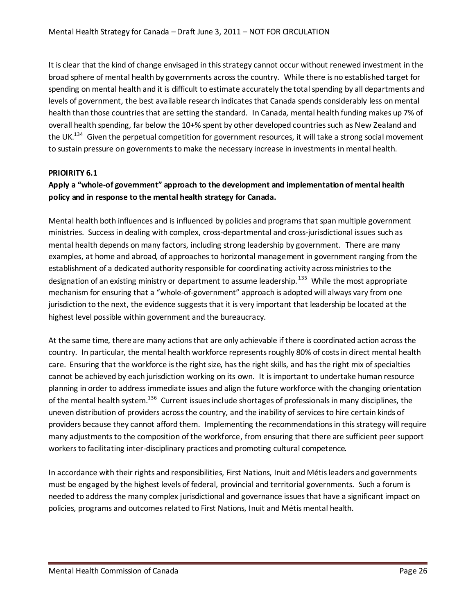It is clear that the kind of change envisaged in this strategy cannot occur without renewed investment in the broad sphere of mental health by governments across the country. While there is no established target for spending on mental health and it is difficult to estimate accurately the total spending by all departments and levels of government, the best available research indicates that Canada spends considerably less on mental health than those countries that are setting the standard. In Canada, mental health funding makes up 7% of overall health spending, far below the 10+% spent by other developed countries such as New Zealand and the UK.<sup>134</sup> Given the perpetual competition for government resources, it will take a strong social movement to sustain pressure on governments to make the necessary increase in investments in mental health.

#### **PRIOIRITY 6.1**

# **Apply a "whole-of government" approach to the development and implementation of mental health policy and in response to the mental health strategy for Canada.**

Mental health both influences and is influenced by policies and programs that span multiple government ministries. Success in dealing with complex, cross-departmental and cross-jurisdictional issues such as mental health depends on many factors, including strong leadership by government. There are many examples, at home and abroad, of approaches to horizontal management in government ranging from the establishment of a dedicated authority responsible for coordinating activity across ministries to the designation of an existing ministry or department to assume leadership.<sup>135</sup> While the most appropriate mechanism for ensuring that a "whole-of-government" approach is adopted will always vary from one jurisdiction to the next, the evidence suggests that it is very important that leadership be located at the highest level possible within government and the bureaucracy.

At the same time, there are many actions that are only achievable if there is coordinated action across the country. In particular, the mental health workforce represents roughly 80% of costs in direct mental health care. Ensuring that the workforce is the right size, has the right skills, and has the right mix of specialties cannot be achieved by each jurisdiction working on its own. It is important to undertake human resource planning in order to address immediate issues and align the future workforce with the changing orientation of the mental health system.<sup>136</sup> Current issues include shortages of professionals in many disciplines, the uneven distribution of providers across the country, and the inability of services to hire certain kinds of providers because they cannot afford them. Implementing the recommendations in this strategy will require many adjustments to the composition of the workforce, from ensuring that there are sufficient peer support workers to facilitating inter-disciplinary practices and promoting cultural competence.

In accordance with their rights and responsibilities, First Nations, Inuit and Métis leaders and governments must be engaged by the highest levels of federal, provincial and territorial governments. Such a forum is needed to address the many complex jurisdictional and governance issues that have a significant impact on policies, programs and outcomes related to First Nations, Inuit and Métis mental health.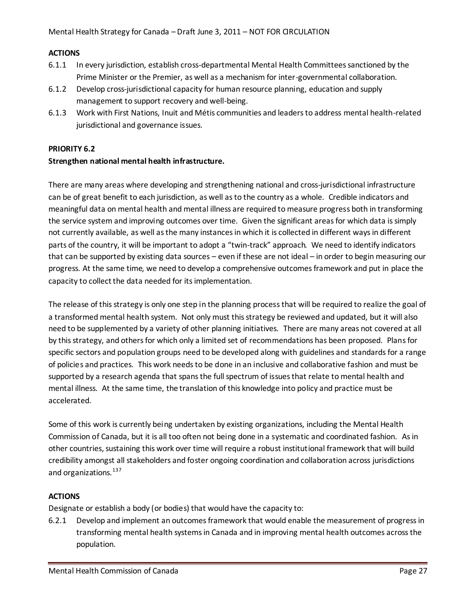#### **ACTIONS**

- 6.1.1 In every jurisdiction, establish cross-departmental Mental Health Committees sanctioned by the Prime Minister or the Premier, as well as a mechanism for inter-governmental collaboration.
- 6.1.2 Develop cross-jurisdictional capacity for human resource planning, education and supply management to support recovery and well-being.
- 6.1.3 Work with First Nations, Inuit and Métis communities and leaders to address mental health-related jurisdictional and governance issues.

#### **PRIORITY 6.2**

#### **Strengthen national mental health infrastructure.**

There are many areas where developing and strengthening national and cross-jurisdictional infrastructure can be of great benefit to each jurisdiction, as well as to the country as a whole. Credible indicators and meaningful data on mental health and mental illness are required to measure progress both in transforming the service system and improving outcomes over time. Given the significant areas for which data is simply not currently available, as well as the many instances in which it is collected in different ways in different parts of the country, it will be important to adopt a "twin-track" approach. We need to identify indicators that can be supported by existing data sources – even if these are not ideal – in order to begin measuring our progress. At the same time, we need to develop a comprehensive outcomes framework and put in place the capacity to collect the data needed for its implementation.

The release of this strategy is only one step in the planning process that will be required to realize the goal of a transformed mental health system. Not only must this strategy be reviewed and updated, but it will also need to be supplemented by a variety of other planning initiatives. There are many areas not covered at all by this strategy, and others for which only a limited set of recommendations has been proposed. Plans for specific sectors and population groups need to be developed along with guidelines and standards for a range of policies and practices. This work needs to be done in an inclusive and collaborative fashion and must be supported by a research agenda that spans the full spectrum of issues that relate to mental health and mental illness. At the same time, the translation of this knowledge into policy and practice must be accelerated.

Some of this work is currently being undertaken by existing organizations, including the Mental Health Commission of Canada, but it is all too often not being done in a systematic and coordinated fashion. As in other countries, sustaining this work over time will require a robust institutional framework that will build credibility amongst all stakeholders and foster ongoing coordination and collaboration across jurisdictions and organizations.<sup>137</sup>

# **ACTIONS**

Designate or establish a body (or bodies) that would have the capacity to:

6.2.1 Develop and implement an outcomes framework that would enable the measurement of progress in transforming mental health systems in Canada and in improving mental health outcomes across the population.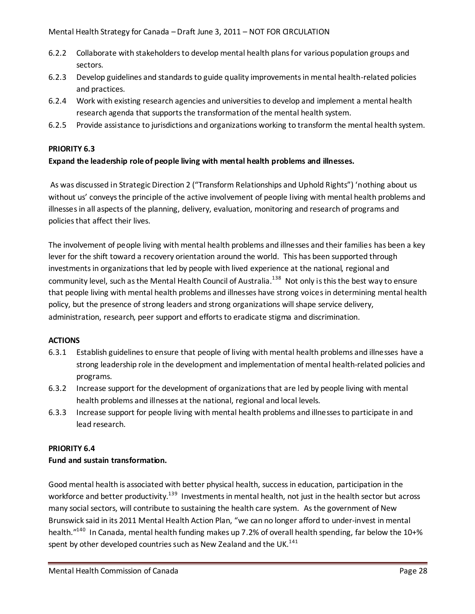- 6.2.2 Collaborate with stakeholders to develop mental health plans for various population groups and sectors.
- 6.2.3 Develop guidelines and standards to guide quality improvements in mental health-related policies and practices.
- 6.2.4 Work with existing research agencies and universities to develop and implement a mental health research agenda that supports the transformation of the mental health system.
- 6.2.5 Provide assistance to jurisdictions and organizations working to transform the mental health system.

#### **PRIORITY 6.3**

#### **Expand the leadership role of people living with mental health problems and illnesses.**

As was discussed in Strategic Direction 2 ("Transform Relationships and Uphold Rights") 'nothing about us without us' conveys the principle of the active involvement of people living with mental health problems and illnesses in all aspects of the planning, delivery, evaluation, monitoring and research of programs and policies that affect their lives.

The involvement of people living with mental health problems and illnesses and their families has been a key lever for the shift toward a recovery orientation around the world. This has been supported through investments in organizations that led by people with lived experience at the national, regional and community level, such as the Mental Health Council of Australia.<sup>138</sup> Not only is this the best way to ensure that people living with mental health problems and illnesses have strong voicesin determining mental health policy, but the presence of strong leaders and strong organizations will shape service delivery, administration, research, peer support and efforts to eradicate stigma and discrimination.

#### **ACTIONS**

- 6.3.1 Establish guidelines to ensure that people of living with mental health problems and illnesses have a strong leadership role in the development and implementation of mental health-related policies and programs.
- 6.3.2 Increase support for the development of organizations that are led by people living with mental health problems and illnesses at the national, regional and local levels.
- 6.3.3 Increase support for people living with mental health problems and illnesses to participate in and lead research.

# **PRIORITY 6.4**

# **Fund and sustain transformation.**

Good mental health is associated with better physical health, success in education, participation in the workforce and better productivity.<sup>139</sup> Investments in mental health, not just in the health sector but across many social sectors, will contribute to sustaining the health care system. As the government of New Brunswick said in its 2011 Mental Health Action Plan, "we can no longer afford to under-invest in mental health."<sup>140</sup> In Canada, mental health funding makes up 7.2% of overall health spending, far below the 10+% spent by other developed countries such as New Zealand and the UK.<sup>141</sup>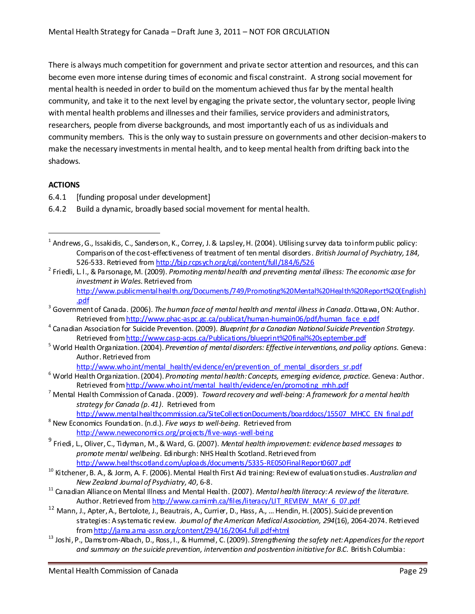There is always much competition for government and private sector attention and resources, and this can become even more intense during times of economic and fiscal constraint. A strong social movement for mental health is needed in order to build on the momentum achieved thus far by the mental health community, and take it to the next level by engaging the private sector, the voluntary sector, people living with mental health problems and illnesses and their families, service providers and administrators, researchers, people from diverse backgrounds, and most importantly each of us as individuals and community members. This is the only way to sustain pressure on governments and other decision-makers to make the necessary investments in mental health, and to keep mental health from drifting back into the shadows.

# **ACTIONS**

l

- 6.4.1 [funding proposal under development]
- 6.4.2 Build a dynamic, broadly based social movement for mental health.

2 Friedli, L. l., & Parsonage, M. (2009). *Promoting mental health and preventing mental illness: The economic case for investment in Wales.* Retrieved from [http://www.publicmentalhealth.org/Documents/749/Promoting%20Mental%20Health%20Report%20\(English\)](http://www.publicmentalhealth.org/Documents/749/Promoting%20Mental%20Health%20Report%20(English).pdf)

- 4 Canadian Association for Suicide Prevention. (2009). *Blueprint for a Canadian National Suicide Prevention Strategy.* Retrieved fro[m http://www.casp-acps.ca/Publications/blueprint%20final%20september.pdf](http://www.casp-acps.ca/Publications/blueprint%20final%20september.pdf)
- <sup>5</sup> World Health Organization. (2004). *Prevention of mental disorders: Effective interventions, and policy options.* Geneva: Author. Retrieved from
	- [http://www.who.int/mental\\_health/evidence/en/prevention\\_of\\_mental\\_disorders\\_sr.pdf](http://www.who.int/mental_health/evidence/en/prevention_of_mental_disorders_sr.pdf)
- <sup>6</sup> World Health Organization. (2004). *Promoting mental health: Concepts, emerging evidence, practice.* Geneva: Author. Retrieved fro[m http://www.who.int/mental\\_health/evidence/en/promoting\\_mhh.pdf](http://www.who.int/mental_health/evidence/en/promoting_mhh.pdf)
- <sup>7</sup> Mental Health Commission of Canada. (2009). *Toward recovery and well-being: A framework for a mental health strategy for Canada (p. 41)*. Retrieved from

[http://www.mentalhealthcommission.ca/SiteCollectionDocuments/boarddocs/15507\\_MHCC\\_EN\\_final.pdf](http://www.mentalhealthcommission.ca/SiteCollectionDocuments/boarddocs/15507_MHCC_EN_final.pdf)

- <sup>8</sup> New Economics Foundation. (n.d.). *Five ways to well-being.* Retrieved from <http://www.neweconomics.org/projects/five-ways-well-being>
- 9 Friedi, L., Oliver, C., Tidyman, M., & Ward, G. (2007). *Mental health improvement: evidence based messages to promote mental wellbeing.* Edinburgh: NHS Health Scotland. Retrieved from <http://www.healthscotland.com/uploads/documents/5335-RE050FinalReport0607.pdf>
- <sup>10</sup> Kitchener, B. A., & Jorm, A. F. (2006). Mental Health First Aid training: Review of evaluation studies. *[Australian and](http://www.mhfa.com.au/documents/ANZJPMHFAtrialreviewJan2006.pdf)  [New Zealand Journal of Psychiatry, 40](http://www.mhfa.com.au/documents/ANZJPMHFAtrialreviewJan2006.pdf)*, 6-8.
- <sup>11</sup> Canadian Alliance on Mental Illness and Mental Health. (2007). *Mental health literacy: A review of the literature.* Author. Retrieved fro[m http://www.camimh.ca/files/literacy/LIT\\_REVIEW\\_MAY\\_6\\_07.pdf](http://www.camimh.ca/files/literacy/LIT_REVIEW_MAY_6_07.pdf)
- <sup>12</sup> Mann, J., Apter, A., Bertolote, J., Beautrais, A., Currier, D., Hass, A., ... Hendin, H. (2005). Suicide prevention strategies: A systematic review. *Journal of the American Medical Association, 294*(16), 2064-2074. Retrieved fro[m http://jama.ama-assn.org/content/294/16/2064.full.pdf+html](http://jama.ama-assn.org/content/294/16/2064.full.pdf+html)
- <sup>13</sup> Joshi, P., Damstrom-Albach, D., Ross, I., & Hummel, C. (2009). *Strengthening the safety net: Appendices for the report and summary on the suicide prevention, intervention and postvention initiative for B.C.* British Columbia:

 $^1$  Andrews, G., Issakidis, C., Sanderson, K., Correy, J. & Lapsley, H. (2004). Utilising survey data to inform public policy: Comparison of the cost-effectiveness of treatment of ten mental disorders. *British Journal of Psychiatry, 184,* 526-533. Retrieved fro[m http://bjp.rcpsych.org/cgi/content/full/184/6/526](http://bjp.rcpsych.org/cgi/content/full/184/6/526)

[<sup>.</sup>pdf](http://www.publicmentalhealth.org/Documents/749/Promoting%20Mental%20Health%20Report%20(English).pdf)

<sup>3</sup> Government of Canada. (2006). *The human face of mental health and mental illness in Canada*. Ottawa, ON: Author. Retrieved fro[m http://www.phac-aspc.gc.ca/publicat/human-humain06/pdf/human\\_face\\_e.pdf](http://www.phac-aspc.gc.ca/publicat/human-humain06/pdf/human_face_e.pdf)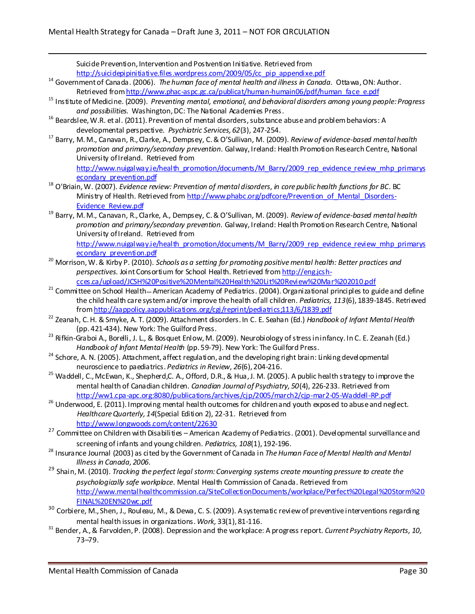Suicide Prevention, Intervention and Postvention Initiative. Retrieved from [http://suicidepipinitiative.files.wordpress.com/2009/05/cc\\_pip\\_appendixe.pdf](http://suicidepipinitiative.files.wordpress.com/2009/05/cc_pip_appendixe.pdf)

- <sup>14</sup> Government of Canada. (2006). *The human face of mental health and illness in Canada.* Ottawa, ON: Author. Retrieved fro[m http://www.phac-aspc.gc.ca/publicat/human-humain06/pdf/human\\_face\\_e.pdf](http://www.phac-aspc.gc.ca/publicat/human-humain06/pdf/human_face_e.pdf)
- <sup>15</sup> Institute of Medicine. (2009). *Preventing mental, emotional, and behavioral disorders among young people: Progress and possibilities.* Washington, DC: The National Academies Press.
- <sup>16</sup> Beardslee, W.R. et al. (2011). Prevention of mental disorders, substance abuse and problem behaviors: A developmental perspective. *Psychiatric Services, 62*(3), 247-254.
- <sup>17</sup> Barry, M.M., Canavan, R., Clarke, A., Dempsey, C. & O'Sullivan, M. (2009). *Review of evidence-based mental health promotion and primary/secondary prevention.* Galway, Ireland: Health Promotion Research Centre, National University of Ireland. Retrieved from [http://www.nuigalway.ie/health\\_promotion/documents/M\\_Barry/2009\\_rep\\_evidence\\_review\\_mhp\\_primarys](http://www.nuigalway.ie/health_promotion/documents/M_Barry/2009_rep_evidence_review_mhp_primarysecondary_prevention.pdf) [econdary\\_prevention.pdf](http://www.nuigalway.ie/health_promotion/documents/M_Barry/2009_rep_evidence_review_mhp_primarysecondary_prevention.pdf)
- <sup>18</sup> O'Briain, W. (2007). *Evidence review: Prevention of mental disorders*, *in core public health functions for BC*. BC Ministry of Health. Retrieved fro[m http://www.phabc.org/pdfcore/Prevention\\_of\\_Mental\\_Disorders-](http://www.phabc.org/pdfcore/Prevention_of_Mental_Disorders-Evidence_Review.pdf)[Evidence\\_Review.pdf](http://www.phabc.org/pdfcore/Prevention_of_Mental_Disorders-Evidence_Review.pdf)
- <sup>19</sup> Barry, M. M., Canavan, R., Clarke, A., Dempsey, C. & O'Sullivan, M. (2009). *Review of evidence-based mental health promotion and primary/secondary prevention.* Galway, Ireland: Health Promotion Research Centre, National University of Ireland. Retrieved from

[http://www.nuigalway.ie/health\\_promotion/documents/M\\_Barry/2009\\_rep\\_evidence\\_review\\_mhp\\_primarys](http://www.nuigalway.ie/health_promotion/documents/M_Barry/2009_rep_evidence_review_mhp_primarysecondary_prevention.pdf) [econdary\\_prevention.pdf](http://www.nuigalway.ie/health_promotion/documents/M_Barry/2009_rep_evidence_review_mhp_primarysecondary_prevention.pdf)

- <sup>20</sup> Morrison, W. & Kirby P. (2010). *Schools as a setting for promoting positive mental health: Better practices and perspectives.* Joint Consortium for School Health. Retrieved fro[m http://eng.jcsh](http://eng.jcsh-cces.ca/upload/JCSH%20Positive%20Mental%20Health%20Lit%20Review%20Mar%202010.pdf)[cces.ca/upload/JCSH%20Positive%20Mental%20Health%20Lit%20Review%20Mar%202010.pdf](http://eng.jcsh-cces.ca/upload/JCSH%20Positive%20Mental%20Health%20Lit%20Review%20Mar%202010.pdf)
- <sup>21</sup> Committee on School Health American Academy of Pediatrics. (2004). Organizational principles to guide and define the child health care system and/or improve the health of all children. *Pediatrics, 113*(6), 1839-1845. Retrieved fro[m http://aappolicy.aappublications.org/cgi/reprint/pediatrics;113/6/1839.pdf](http://aappolicy.aappublications.org/cgi/reprint/pediatrics;113/6/1839.pdf)
- <sup>22</sup> Zeanah, C. H. & Smyke, A. T. (2009). Attachment disorders. In C. E. Seahan (Ed.) *Handbook of Infant Mental Health*  (pp. 421-434). New York: The Guilford Press.
- <sup>23</sup> Rifkin-Graboi A., Borelli, J. L., & Bosquet Enlow, M. (2009). Neurobiology of stress in infancy. In C. E. Zeanah (Ed.) *Handbook of Infant Mental Health* (pp. 59-79). New York: The Guilford Press.
- $24$  Schore, A. N. (2005). Attachment, affect regulation, and the developing right brain: Linking developmental neuroscience to paediatrics. *Pediatrics in Review*, *26*(6), 204-216.
- <sup>25</sup> Waddell, C., McEwan, K., Shepherd,C. A., Offord, D.R., & Hua, J. M. (2005). A public health strategy to improve the mental health of Canadian children. *Canadian Journal of Psychiatry, 50*(4), 226-233. Retrieved from <http://ww1.cpa-apc.org:8080/publications/archives/cjp/2005/march2/cjp-mar2-05-Waddell-RP.pdf>
- <sup>26</sup> Underwood, E. (2011). Improving mental health outcomes for children and youth exposed to abuse and neglect. *Healthcare Quarterly, 14*(Special Edition 2), 22-31. Retrieved from <http://www.longwoods.com/content/22630>
- <sup>27</sup> Committee on Children with Disabilities American Academy of Pediatrics. (2001). Developmental surveillance and screening of infants and young children. *Pediatrics, 108*(1), 192-196.
- <sup>28</sup> Insurance Journal (2003) as cited by the Government of Canada in *The Human Face of Mental Health and Mental Illness in Canada, 2006.*
- <sup>29</sup> Shain, M. (2010). *Tracking the perfect legal storm: Converging systems create mounting pressure to create the psychologically safe workplace.* Mental Health Commission of Canada. Retrieved from [http://www.mentalhealthcommission.ca/SiteCollectionDocuments/workplace/Perfect%20Legal%20Storm%20](http://www.mentalhealthcommission.ca/SiteCollectionDocuments/workplace/Perfect%20Legal%20Storm%20FINAL%20EN%20wc.pdf) [FINAL%20EN%20wc.pdf](http://www.mentalhealthcommission.ca/SiteCollectionDocuments/workplace/Perfect%20Legal%20Storm%20FINAL%20EN%20wc.pdf)
- <sup>30</sup> Corbiere, M., Shen, J., Rouleau, M., & Dewa, C. S. (2009). A systematic review of preventive interventions regarding mental health issues in organizations. *Work,* 33(1), 81-116.
- <sup>31</sup> Bender, A., & Farvolden, P. (2008). Depression and the workplace: A progress report. *Current Psychiatry Reports*, *10,*  73–79.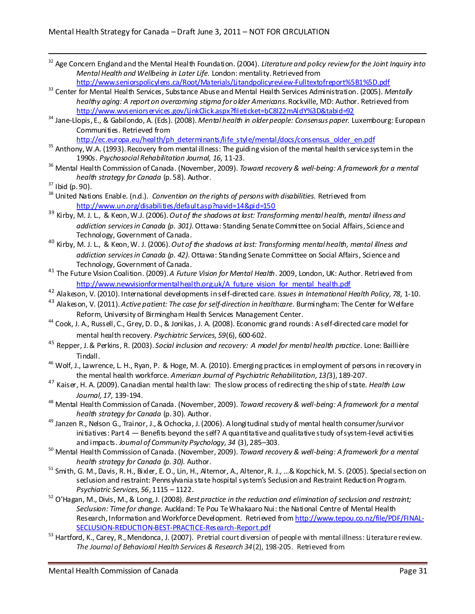<sup>32</sup> Age Concern England and the Mental Health Foundation. (2004). *Literature and policy review for the Joint Inquiry into Mental Health and Wellbeing in Later Life.* London: mentality. Retrieved from

<http://www.seniorspolicylens.ca/Root/Materials/Litandpolicyreview-Fulltextofreport%5B1%5D.pdf>

- <sup>33</sup> Center for Mental Health Services, Substance Abuse and Mental Health Services Administration. (2005). *Mentally healthy aging: A report on overcoming stigma for older Americans*. Rockville, MD: Author. Retrieved from <http://www.wvseniorservices.gov/LinkClick.aspx?fileticket=bC8l22mAldY%3D&tabid=92>
- <sup>34</sup> Jane-Llopis, E., & Gabilondo, A. (Eds). (2008). *Mental health in older people: Consensus paper.* Luxembourg: European Communities. Retrieved from

[http://ec.europa.eu/health/ph\\_determinants/life\\_style/mental/docs/consensus\\_older\\_en.pdf](http://ec.europa.eu/health/ph_determinants/life_style/mental/docs/consensus_older_en.pdf)

- <sup>35</sup> Anthony, W.A. (1993). Recovery from mental illness: The guiding vision of the mental health service system in the 1990s. *Psychosocial Rehabilitation Journal, 16,* 11-23.
- <sup>36</sup> Mental Health Commission of Canada. (November, 2009). *Toward recovery & well-being: A framework for a mental health strategy for Canada* (p. 58)*.* Author.

1

- <sup>38</sup> United Nations Enable. (n.d.). *Convention on the rights of persons with disabilities*. Retrieved from <http://www.un.org/disabilities/default.asp?navid=14&pid=150>
- <sup>39</sup> Kirby, M. J. L., & Keon, W.J. (2006). *Out of the shadows at last: Transforming mental health, mental illness and addiction services in Canada (p. 301).* Ottawa: Standing Senate Committee on Social Affairs, Science and Technology, Government of Canada.
- <sup>40</sup> Kirby, M. J. L., & Keon, W. J. (2006). *Out of the shadows at last: Transforming mental health, mental illness and addiction services in Canada (p. 42).* Ottawa: Standing Senate Committee on Social Affairs, Science and Technology, Government of Canada.
- <sup>41</sup> The Future Vision Coalition. (2009). *A Future Vision for Mental Health*. 2009, London, UK: Author. Retrieved from [http://www.newvisionformentalhealth.org.uk/A\\_future\\_vision\\_for\\_mental\\_health.pdf](http://www.newvisionformentalhealth.org.uk/A_future_vision_for_mental_health.pdf)
- <sup>42</sup> Alakeson, V. (2010). International developments in self-directed care. *Issues in International Health Policy, 78,* 1-10.
- <sup>43</sup> Alakeson, V. (2011). *Active patient: The case for self-direction in healthcare*. Burmingham: The Center for Welfare Reform, University of Birmingham Health Services Management Center.
- <sup>44</sup> Cook, J. A., Russell, C., Grey, D. D., & Jonikas, J. A. (2008). Economic grand rounds: A self-directed care model for mental health recovery. *Psychiatric Services, 59*(6), 600-602.
- <sup>45</sup> Repper, J. & Perkins, R. (2003). *Social inclusion and recovery: A model for mental health practice*. Lone: Baillière Tindall.
- <sup>46</sup> Wolf, J., Lawrence, L. H., Ryan, P. & Hoge, M. A. (2010). Emerging practices in employment of persons in recovery in the mental health workforce. *American Journal of Psychiatric Rehabilitation, 13(*3), 189-207.
- <sup>47</sup> Kaiser, H. A. (2009). Canadian mental health law: The slow process of redirecting the ship of state. *Health Law Journal, 17,* 139-194.
- <sup>48</sup> Mental Health Commission of Canada. (November, 2009). *Toward recovery & well-being: A framework for a mental health strategy for Canada* (p. 30)*.* Author.
- <sup>49</sup> Janzen R., Nelson G., Trainor, J., & Ochocka, J. (2006). A longitudinal study of mental health consumer/survivor initiatives: Part  $4$  – Benefits beyond the self? A quantitative and qualitative study of system-level activities and impacts. *Journal of Community Psychology, 34* (3), 285–303.
- <sup>50</sup> Mental Health Commission of Canada. (November, 2009). *Toward recovery & well-being: A framework for a mental health strategy for Canada (p. 30).* Author.
- <sup>51</sup> Smith, G. M., Davis, R. H., Bixler, E. O., Lin, H., Alternor, A., Altenor, R. J., ...& Kopchick, M. S. (2005). Special section on seclusion and restraint: Pennsylvania state hospital system's Seclusion and Restraint Reduction Program. *Psychiatric Services, 56*, 1115 – 1122.
- <sup>52</sup> O'Hagan, M., Divis, M., & Long, J. (2008). *Best practice in the reduction and elimination of seclusion and restraint; Seclusion: Time for change.* Auckland: Te Pou Te Whakaaro Nui: the National Centre of Mental Health Research, Information and Workforce Development. Retrieved fro[m http://www.tepou.co.nz/file/PDF/FINAL-](http://www.tepou.co.nz/file/PDF/FINAL-SECLUSION-REDUCTION-BEST-PRACTICE-Research-Report.pdf)[SECLUSION-REDUCTION-BEST-PRACTICE-Research-Report.pdf](http://www.tepou.co.nz/file/PDF/FINAL-SECLUSION-REDUCTION-BEST-PRACTICE-Research-Report.pdf)
- $53$  Hartford, K., Carey, R., Mendonca, J. (2007). Pretrial court diversion of people with mental illness: Literature review. *The Journal of Behavioral Health Services & Research 34*(2), 198-205. Retrieved from

<sup>37</sup> Ibid (p. 90).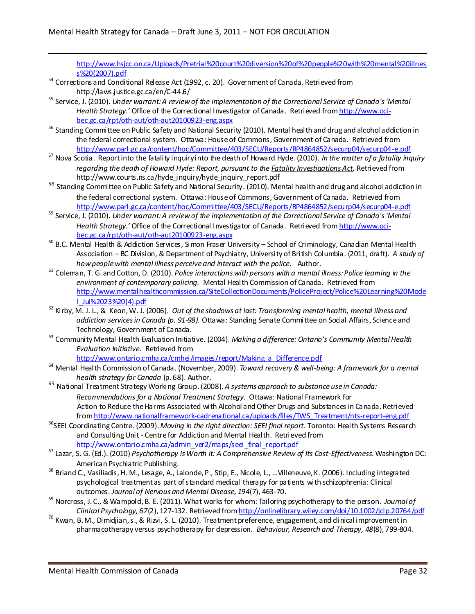[http://www.hsjcc.on.ca/Uploads/Pretrial%20court%20diversion%20of%20people%20with%20mental%20illnes](http://www.hsjcc.on.ca/Uploads/Pretrial%20court%20diversion%20of%20people%20with%20mental%20illness%20(2007).pdf) [s%20\(2007\).pdf](http://www.hsjcc.on.ca/Uploads/Pretrial%20court%20diversion%20of%20people%20with%20mental%20illness%20(2007).pdf)

- $54$  Corrections and Conditional Release Act (1992, c. 20). Government of Canada, Retrieved from <http://laws.justice.gc.ca/en/C-44.6/>
- <sup>55</sup> Service, J. (2010). *Under warrant: A review of the implementation of the Correctional Service of Canada's 'Mental Health Strategy.'* Office of the Correctional Investigator of Canada. Retrieved fro[m http://www.oci](http://www.oci-bec.gc.ca/rpt/oth-aut/oth-aut20100923-eng.aspx)[bec.gc.ca/rpt/oth-aut/oth-aut20100923-eng.aspx](http://www.oci-bec.gc.ca/rpt/oth-aut/oth-aut20100923-eng.aspx)
- <sup>56</sup> Standing Committee on Public Safety and National Security (2010). Mental health and drug and alcohol addiction in the federal correctional system. Ottawa: House of Commons, Government of Canada. Retrieved from <http://www.parl.gc.ca/content/hoc/Committee/403/SECU/Reports/RP4864852/securp04/securp04-e.pdf>
- <sup>57</sup> Nova Scotia. Report into the fatality inquiry into the death of Howard Hyde. (2010). *In the matter of a fatality inquiry regarding the death of Howard Hyde: Report, pursuant to the Fatality Investigations Act.* Retrieved from http://www.courts.ns.ca/hyde\_inquiry/hyde\_inquiry\_report.pdf
- <sup>58</sup> Standing Committee on Public Safety and National Security. (2010). Mental health and drug and alcohol addiction in the federal correctional system. Ottawa: House of Commons, Government of Canada. Retrieved from <http://www.parl.gc.ca/content/hoc/Committee/403/SECU/Reports/RP4864852/securp04/securp04-e.pdf>
- <sup>59</sup> Service, J. (2010). *Under warrant: A review of the implementation of the Correctional Service of Canada's 'Mental Health Strategy.'* Office of the Correctional Investigator of Canada. Retrieved fro[m http://www.oci](http://www.oci-bec.gc.ca/rpt/oth-aut/oth-aut20100923-eng.aspx)[bec.gc.ca/rpt/oth-aut/oth-aut20100923-eng.aspx](http://www.oci-bec.gc.ca/rpt/oth-aut/oth-aut20100923-eng.aspx)
- <sup>60</sup> B.C. Mental Health & Addiction Services, Simon Fraser University School of Criminology, Canadian Mental Health Association – BC Division, & Department of Psychiatry, University of British Columbia. (2011, draft). *A study of how people with mental illness perceive and interact with the police.* Author.
- <sup>61</sup> Coleman, T. G. and Cotton, D. (2010). *Police interactions with persons with a mental illness: Police leaming in the environment of contemporary policing.* Mental Health Commission of Canada. Retrieved from [http://www.mentalhealthcommission.ca/SiteCollectionDocuments/PoliceProject/Police%20Learning%20Mode](http://www.mentalhealthcommission.ca/SiteCollectionDocuments/PoliceProject/Police%20Learning%20Model_Jul%2023%20(4).pdf) [l\\_Jul%2023%20\(4\).pdf](http://www.mentalhealthcommission.ca/SiteCollectionDocuments/PoliceProject/Police%20Learning%20Model_Jul%2023%20(4).pdf)
- <sup>62</sup> Kirby, M. J. L., & Keon, W. J. (2006). *Out of the shadows at last: Transforming mental health, mental illness and addiction services in Canada (p. 91-98).* Ottawa: Standing Senate Committee on Social Affairs, Science and Technology, Government of Canada.
- <sup>63</sup> Community Mental Health Evaluation Initiative. (2004). *Making a difference: Ontario's Community Mental Health Evaluation Initiative.* Retrieved from

[http://www.ontario.cmha.ca/cmhei/images/report/Making\\_a\\_Difference.pdf](http://www.ontario.cmha.ca/cmhei/images/report/Making_a_Difference.pdf)

- <sup>64</sup> Mental Health Commission of Canada. (November, 2009). *Toward recovery & well-being: A framework for a mental health strategy for Canada* (p. 68). Author.
- <sup>65</sup> National Treatment Strategy Working Group.(2008). *A systems approach to substance use in Canada: Recommendations for a National Treatment Strategy.* Ottawa: National Framework for Action to Reduce the Harms Associated with Alcohol and Other Drugs and Substances in Canada. Retrieved fro[m http://www.nationalframework-cadrenational.ca/uploads/files/TWS\\_Treatment/nts-report-eng.pdf](http://www.nationalframework-cadrenational.ca/uploads/files/TWS_Treatment/nts-report-eng.pdf)
- <sup>66</sup>SEEI Coordinating Centre. (2009). Moving in the right direction: SEEI final report. Toronto: Health Systems Research and Consulting Unit - Centre for Addiction and Mental Health. Retrieved from [http://www.ontario.cmha.ca/admin\\_ver2/maps/seei\\_final\\_report.pdf](http://www.ontario.cmha.ca/admin_ver2/maps/seei_final_report.pdf)
- <sup>67</sup> Lazar, S. G. (Ed.). (2010) *Psychotherapy Is Worth It: A Comprehensive Review of Its Cost-Effectiveness.* Washington DC: American Psychiatric Publishing.
- <sup>68</sup> Briand C., Vasiliadis, H. M., Lesage, A., Lalonde, P., Stip, E., Nicole, L., …Villeneuve, K. (2006). Including integrated psychological treatment as part of standard medical therapy for patients with schizophrenia: Clinical outcomes. *Journal of Nervous and Mental Disease, 194*(7), 463-70.
- <sup>69</sup> Norcross, J. C., & Wampold, B. E. (2011). What works for whom: Tailoring psychotherapy to the person. *Journal of Clinical Psychology, 67*(2), 127-132. Retrieved fro[m http://onlinelibrary.wiley.com/doi/10.1002/jclp.20764/pdf](http://onlinelibrary.wiley.com/doi/10.1002/jclp.20764/pdf)
- $^{70}$  Kwan, B. M., Dimidiian, s., & Rizvi, S. L. (2010). Treatment preference, engagement, and clinical improvement in pharmacotherapy versus psychotherapy for depression. *Behaviour, Research and Therapy, 48*(8), 799-804.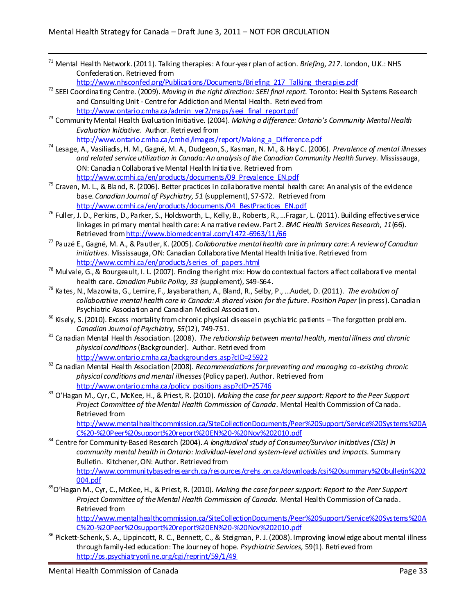<sup>71</sup> Mental Health Network.(2011). Talking therapies: A four-year plan of action. *Briefing, 217*. London, U.K.: NHS Confederation. Retrieved from

[http://www.nhsconfed.org/Publications/Documents/Briefing\\_217\\_Talking\\_therapies.pdf](http://www.nhsconfed.org/Publications/Documents/Briefing_217_Talking_therapies.pdf)

- <sup>72</sup> SEEI Coordinating Centre. (2009). *Moving in the right direction: SEEI final report.* Toronto: Health Systems Research and Consulting Unit - Centre for Addiction and Mental Health. Retrieved from [http://www.ontario.cmha.ca/admin\\_ver2/maps/seei\\_final\\_report.pdf](http://www.ontario.cmha.ca/admin_ver2/maps/seei_final_report.pdf)
- <sup>73</sup> Community Mental Health Evaluation Initiative. (2004). *Making a difference: Ontario's Community Mental Health Evaluation Initiative.* Author. Retrieved from [http://www.ontario.cmha.ca/cmhei/images/report/Making\\_a\\_Difference.pdf](http://www.ontario.cmha.ca/cmhei/images/report/Making_a_Difference.pdf)
- <sup>74</sup> Lesage, A., Vasiliadis, H. M., Gagné, M. A., Dudgeon, S., Kasman, N. M., & Hay C. (2006). *Prevalence of mental illnesses and related service utilization in Canada: An analysis of the Canadian Community Health Survey.* Mississauga, ON: Canadian Collaborative Mental Health Initiative. Retrieved from [http://www.ccmhi.ca/en/products/documents/09\\_Prevalence\\_EN.pdf](http://www.ccmhi.ca/en/products/documents/09_Prevalence_EN.pdf)
- $75$  Craven, M. L., & Bland, R. (2006). Better practices in collaborative mental health care: An analysis of the evidence base. *Canadian Journal of Psychiatry, 51* (supplement), S7-S72. Retrieved from [http://www.ccmhi.ca/en/products/documents/04\\_BestPractices\\_EN.pdf](http://www.ccmhi.ca/en/products/documents/04_BestPractices_EN.pdf)
- <sup>76</sup> Fuller, J. D., Perkins, D., Parker, S., Holdsworth, L., Kelly, B., Roberts, R., ... Fragar, L. (2011). Building effective service linkages in primary mental health care: A narrative review. Part 2. *BMC Health Services Research, 11*(66). Retrieved from http://www.biomedcentral.com/1472-6963/11/66
- <sup>77</sup> Pauzé E., Gagné, M. A., & Pautler, K. (2005). *Collaborative mental health care in primary care: A review of Canadian initiatives.* Mississauga, ON: Canadian Collaborative Mental Health Initiative. Retrieved from [http://www.ccmhi.ca/en/products/series\\_of\\_papers.html](http://www.ccmhi.ca/en/products/series_of_papers.html)
- <sup>78</sup> Mulvale, G., & Bourgeault, I. L. (2007). Finding the right mix: How do contextual factors affect collaborative mental health care. *Canadian Public Policy, 33* (supplement), S49-S64.
- <sup>79</sup> Kates, N., Mazowita, G., Lemire, F., Jayabarathan, A., Bland, R., Selby, P., …Audet, D. (2011). *The evolution of collaborative mental health care in Canada: A shared vision for the future. Position Paper* (in press). Canadian Psychiatric Association and Canadian Medical Association.
- $80$  Kisely, S. (2010). Excess mortality from chronic physical disease in psychiatric patients The forgotten problem. *Canadian Journal of Psychiatry, 55*(12), 749-751.
- <sup>81</sup> Canadian Mental Health Association. (2008). *The relationship between mental health, mental illness and chronic physical conditions* (Backgrounder). Author. Retrieved from <http://www.ontario.cmha.ca/backgrounders.asp?cID=25922>
- <sup>82</sup> Canadian Mental Health Association (2008). *Recommendations for preventing and managing co-existing chronic physical conditions and mental illnesses*(Policy paper). Author. Retrieved from [http://www.ontario.cmha.ca/policy\\_positions.asp?cID=25746](http://www.ontario.cmha.ca/policy_positions.asp?cID=25746)
- <sup>83</sup> O'Hagan M., Cyr, C., McKee, H., & Priest, R. (2010). *Making the case for peer support: Report to the Peer Support Project Committee of the Mental Health Commission of Canada.* Mental Health Commission of Canada. Retrieved from

[http://www.mentalhealthcommission.ca/SiteCollectionDocuments/Peer%20Support/Service%20Systems%20A](http://www.mentalhealthcommission.ca/SiteCollectionDocuments/Peer%20Support/Service%20Systems%20AC%20-%20Peer%20support%20report%20EN%20-%20Nov%202010.pdf) [C%20-%20Peer%20support%20report%20EN%20-%20Nov%202010.pdf](http://www.mentalhealthcommission.ca/SiteCollectionDocuments/Peer%20Support/Service%20Systems%20AC%20-%20Peer%20support%20report%20EN%20-%20Nov%202010.pdf) 

- <sup>84</sup> Centre for Community-Based Research (2004). A longitudinal study of Consumer/Survivor Initiatives (CSIs) in *community mental health in Ontario: Individual-level and system-level activities and impacts.* Summary Bulletin.Kitchener, ON: Author. Retrieved from [http://www.communitybasedresearch.ca/resources/crehs.on.ca/downloads/csi%20summary%20bulletin%202](http://www.communitybasedresearch.ca/resources/crehs.on.ca/downloads/csi%20summary%20bulletin%202004.pdf) [004.pdf](http://www.communitybasedresearch.ca/resources/crehs.on.ca/downloads/csi%20summary%20bulletin%202004.pdf)
- <sup>85</sup>O'Hagan M., Cyr, C., McKee, H., & Priest, R. (2010). *Making the case for peer support: Report to the Peer Support Project Committee of the Mental Health Commission of Canada.* Mental Health Commission of Canada. Retrieved from

[http://www.mentalhealthcommission.ca/SiteCollectionDocuments/Peer%20Support/Service%20Systems%20A](http://www.mentalhealthcommission.ca/SiteCollectionDocuments/Peer%20Support/Service%20Systems%20AC%20-%20Peer%20support%20report%20EN%20-%20Nov%202010.pdf) [C%20-%20Peer%20support%20report%20EN%20-%20Nov%202010.pdf](http://www.mentalhealthcommission.ca/SiteCollectionDocuments/Peer%20Support/Service%20Systems%20AC%20-%20Peer%20support%20report%20EN%20-%20Nov%202010.pdf)

<sup>86</sup> Pickett-Schenk, S. A., Lippincott, R. C., Bennett, C., & Steigman, P. J. (2008). Improving knowledge about mental illness through family-led education: The Journey of hope. *Psychiatric Services,* 59(1). Retrieved from <http://ps.psychiatryonline.org/cgi/reprint/59/1/49>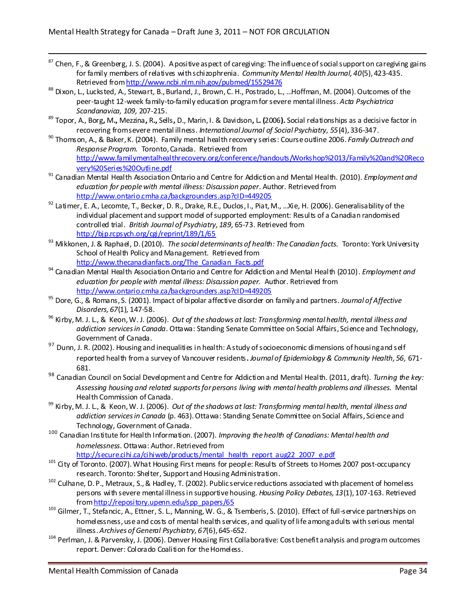- 87 Chen, F., & Greenberg, J. S. (2004). A positive aspect of caregiving: The influence of social support on caregiving gains for family members of relatives with schizophrenia. *Community Mental Health Journal, 40*(5), 423-435. Retrieved fro[m http://www.ncbi.nlm.nih.gov/pubmed/15529476](https://autodiscover.mentalhealthcommission.ca/owa/redir.aspx?C=695f0aa9c6cd491aba58c2006ba2e31c&URL=http%3a%2f%2fwww.ncbi.nlm.nih.gov%2fpubmed%2f15529476)
- 88 Dixon, L., Lucksted, A., Stewart, B., Burland, J., Brown, C. H., Postrado, L., ...Hoffman, M. (2004). Outcomes of the peer-taught 12-week family-to-family education program for severe mental illness. *Acta Psychiatrica Scandanavica, 109,* 207-215.
- <sup>89</sup> Topor, A., Borg**,** M**.,** Mezzina**,** R**.,** Sells**,** D., Marin, I. & Davidson**,** L**. (**2006**).** Social relationships as a decisive factor in recovering from severe mental illness. *International Journal of Social Psychiatry, 55*(4), 336-347.
- <sup>90</sup> Thomson, A., & Baker, K. (2004). Family mental health recovery series: Course outline 2006. *Family Outreach and Response Program.* Toronto, Canada. Retrieved from [http://www.familymentalhealthrecovery.org/conference/handouts/Workshop%2013/Family%20and%20Reco](http://www.familymentalhealthrecovery.org/conference/handouts/Workshop%2013/Family%20and%20Recovery%20Series%20Outline.pdf) [very%20Series%20Outline.pdf](http://www.familymentalhealthrecovery.org/conference/handouts/Workshop%2013/Family%20and%20Recovery%20Series%20Outline.pdf)
- <sup>91</sup> Canadian Mental Health Association Ontario and Centre for Addiction and Mental Health. (2010). *Employment and education for people with mental illness: Discussion paper*. Author*.* Retrieved from <http://www.ontario.cmha.ca/backgrounders.asp?cID=449205>
- <sup>92</sup> Latimer, E. A., Lecomte, T., Becker, D. R., Drake, R.E., Duclos, I., Piat, M., ...Xie, H. (2006). Generalisability of the individual placement and support model of supported employment: Results of a Canadian randomised controlled trial. *British Journal of Psychiatry, 189,* 65-73. Retrieved from <http://bjp.rcpsych.org/cgi/reprint/189/1/65>
- <sup>93</sup> Mikkonen, J. & Raphael, D. (2010). *The social determinants of health: The Canadian facts.* Toronto: York University School of Health Policy and Management. Retrieved from http://www.thecanadianfacts.org/The Canadian Facts.pdf
- <sup>94</sup> Canadian Mental Health Association Ontario and Centre for Addiction and Mental Health (2010). *Employment and education for people with mental illness: Discussion paper.* Author. Retrieved from <http://www.ontario.cmha.ca/backgrounders.asp?cID=449205>
- <sup>95</sup> Dore, G., & Romans, S. (2001). Impact of bipolar affective disorder on family and partners. *Journal of Affective Disorders, 67*(1)*,* 147-58.
- <sup>96</sup> Kirby, M. J. L., & Keon, W. J. (2006). *Out of the shadows at last: Transforming mental health, mental illness and addiction services in Canada*. Ottawa: Standing Senate Committee on Social Affairs, Science and Technology, Government of Canada.
- 97 Dunn, J. R. (2002). Housing and inequalities in health: A study of socioeconomic dimensions of housing and self reported health from a survey of Vancouver residents**.** *Journal of Epidemiology & Community Health, 56,* 671- 681.
- <sup>98</sup> Canadian Council on Social Development and Centre for Addiction and Mental Health. (2011, draft). *Turning the key: Assessing housing and related supports for persons living with mental health problems and illnesses.* Mental Health Commission of Canada.
- <sup>99</sup> Kirby, M. J. L., & Keon, W. J. (2006). *Out of the shadows at last: Transforming mental health, mental illness and addiction services in Canada* (p. 463). Ottawa: Standing Senate Committee on Social Affairs, Science and Technology, Government of Canada.
- <sup>100</sup> Canadian Institute for Health Information. (2007). *Improving the health of Canadians: Mental health and homelessness*. Ottawa: Author. Retrieved from

[http://secure.cihi.ca/cihiweb/products/mental\\_health\\_report\\_aug22\\_2007\\_e.pdf](http://secure.cihi.ca/cihiweb/products/mental_health_report_aug22_2007_e.pdf)

- <sup>101</sup> City of Toronto. (2007). What Housing First means for people: Results of Streets to Homes 2007 post-occupancy research. Toronto: Shelter, Support and Housing Administration.
- $102$  Culhane, D. P., Metraux, S., & Hadley, T. (2002). Public service reductions associated with placement of homeless persons with severe mental illness in supportive housing. *Housing Policy Debates, 13*(1), 107-163. Retrieved fro[m http://repository.upenn.edu/spp\\_papers/65](http://repository.upenn.edu/spp_papers/65)
- <sup>103</sup> Gilmer, T., Stefancic, A., Ettner, S. L., Manning, W. G., & Tsemberis, S. (2010). Effect of full-service partnerships on homelessness, use and costs of mental health services, and quality of life among adults with serious mental illness. *Archives of General Psychiatry, 67*(6), 645-652.
- <sup>104</sup> Perlman, J. & Parvensky, J. (2006). Denver Housing First Collaborative: Cost benefit analysis and program outcomes report. Denver: Colorado Coalition for the Homeless.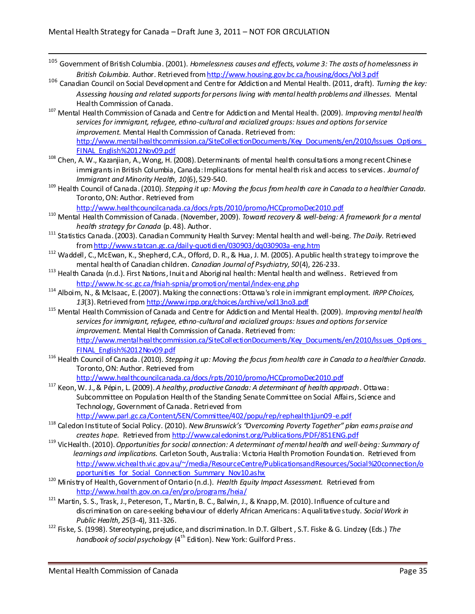- <sup>105</sup> Government of British Columbia. (2001). *Homelessness causes and effects, volume 3: The costs of homelessness in British Columbia.* Author. Retrieved fro[m http://www.housing.gov.bc.ca/housing/docs/Vol3.pdf](http://www.housing.gov.bc.ca/housing/docs/Vol3.pdf)
- <sup>106</sup> Canadian Council on Social Development and Centre for Addiction and Mental Health. (2011, draft). *Turning the key: Assessing housing and related supports for persons living with mental health problems and illnesses.* Mental Health Commission of Canada.
- <sup>107</sup> Mental Health Commission of Canada and Centre for Addiction and Mental Health. (2009). *Improving mental health services for immigrant, refugee, ethno-cultural and racialized groups: Issues and options for service improvement.* Mental Health Commission of Canada. Retrieved from: http://www.mentalhealthcommission.ca/SiteCollectionDocuments/Key\_Documents/en/2010/Issues\_Options [FINAL\\_English%2012Nov09.pdf](http://www.mentalhealthcommission.ca/SiteCollectionDocuments/Key_Documents/en/2010/Issues_Options_FINAL_English%2012Nov09.pdf)
- <sup>108</sup> Chen, A. W., Kazanjian, A., Wong, H. (2008). Determinants of mental health consultations a mong recent Chinese immigrants in British Columbia, Canada: Implications for mental health risk and access to services. *Journal of Immigrant and Minority Health, 10*(6), 529-540.
- <sup>109</sup> Health Council of Canada.(2010). *Stepping it up: Moving the focus from health care in Canada to a healthier Canada.* Toronto, ON: Author. Retrieved from

<http://www.healthcouncilcanada.ca/docs/rpts/2010/promo/HCCpromoDec2010.pdf>

- <sup>110</sup> Mental Health Commission of Canada. (November, 2009). *Toward recovery & well-being: A framework for a mental health strategy for Canada* (p. 48). Author.
- <sup>111</sup> Statistics Canada. (2003). Canadian Community Health Survey: Mental health and well-being. *The Daily.* Retrieved fro[m http://www.statcan.gc.ca/daily-quotidien/030903/dq030903a-eng.htm](http://www.statcan.gc.ca/daily-quotidien/030903/dq030903a-eng.htm)
- <sup>112</sup> Waddell, C., McEwan, K., Shepherd, C.A., Offord, D. R., & Hua, J. M. (2005). A public health strategy to improve the mental health of Canadian children. *Canadian Journal of Psychiatry, 50*(4), 226-233.
- <sup>113</sup> Health Canada (n.d.). First Nations, Inuit and Aboriginal health: Mental health and wellness. Retrieved from <http://www.hc-sc.gc.ca/fniah-spnia/promotion/mental/index-eng.php>
- <sup>114</sup> Alboim, N., & McIsaac, E. (2007). Making the connections: Ottawa's role in immigrant employment. *IRPP Choices, 13*(3). Retrieved fro[m http://www.irpp.org/choices/archive/vol13no3.pdf](http://www.irpp.org/choices/archive/vol13no3.pdf)
- <sup>115</sup> Mental Health Commission of Canada and Centre for Addiction and Mental Health. (2009). *Improving mental health services for immigrant, refugee, ethno-cultural and racialized groups: Issues and options for service improvement.* Mental Health Commission of Canada. Retrieved from: http://www.mentalhealthcommission.ca/SiteCollectionDocuments/Key\_Documents/en/2010/Issues\_Options [FINAL\\_English%2012Nov09.pdf](http://www.mentalhealthcommission.ca/SiteCollectionDocuments/Key_Documents/en/2010/Issues_Options_FINAL_English%2012Nov09.pdf)
- <sup>116</sup> Health Council of Canada.(2010). *Stepping it up: Moving the focus from health care in Canada to a healthier Canada.* Toronto, ON: Author. Retrieved from

<http://www.healthcouncilcanada.ca/docs/rpts/2010/promo/HCCpromoDec2010.pdf>

<sup>117</sup> Keon, W. J., & Pépin, L. (2009). *A healthy, productive Canada: A determinant of health approach*. Ottawa: Subcommittee on Population Health of the Standing Senate Committee on Social Affairs, Science and Technology, Government of Canada. Retrieved from

<http://www.parl.gc.ca/Content/SEN/Committee/402/popu/rep/rephealth1jun09-e.pdf>

- <sup>118</sup> Caledon Institute of Social Policy. (2010). *New Brunswick's "Overcoming Poverty Together" plan eams praise and creates hope.* Retrieved fro[m http://www.caledoninst.org/Publications/PDF/851ENG.pdf](http://www.caledoninst.org/Publications/PDF/851ENG.pdf)
- <sup>119</sup> VicHealth.(2010).*Opportunities for social connection: A determinant of mental health and well-being: Summary of learnings and implications.* Carleton South, Australia: Victoria Health Promotion Foundation. Retrieved from [http://www.vichealth.vic.gov.au/~/media/ResourceCentre/PublicationsandResources/Social%20connection/o](http://www.vichealth.vic.gov.au/~/media/ResourceCentre/PublicationsandResources/Social%20connection/opportunities_for_Social_Connection_Summary_Nov10.ashx) [pportunities\\_for\\_Social\\_Connection\\_Summary\\_Nov10.ashx](http://www.vichealth.vic.gov.au/~/media/ResourceCentre/PublicationsandResources/Social%20connection/opportunities_for_Social_Connection_Summary_Nov10.ashx)
- <sup>120</sup> Ministry of Health, Government of Ontario (n.d.). *Health Equity Impact Assessment.* Retrieved from <http://www.health.gov.on.ca/en/pro/programs/heia/>
- <sup>121</sup> Martin, S. S., Trask, J., Petereson, T., Martin, B. C., Balwin, J., & Knapp, M. (2010). Influence of culture and discrimination on care-seeking behaviour of elderly African Americans: A qualitative study. *Social Work in Public Health, 25*(3-4), 311-326.
- <sup>122</sup> Fiske, S. (1998). Stereotyping, prejudice, and discrimination. In D.T. Gilbert , S.T. Fiske & G. Lindzey (Eds.) *The handbook of social psychology* (4<sup>th</sup> Edition). New York: Guilford Press.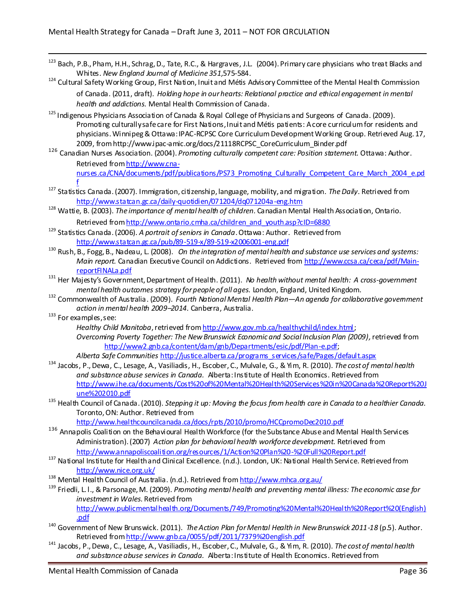- 123 Bach, P.B., Pham, H.H., Schrag, D., Tate, R.C., & Hargraves, J.L. (2004). Primary care physicians who treat Blacks and Whites. *New England Journal of Medicine 351,*575-584.
- <sup>124</sup> Cultural Safety Working Group, First Nation, Inuit and Métis Advisory Committee of the Mental Health Commission of Canada. (2011, draft). *Holding hope in our hearts: Relational practice and ethical engagement in mental health and addictions.* Mental Health Commission of Canada.
- <sup>125</sup> Indigenous Physicians Association of Canada & Royal College of Physicians and Surgeons of Canada. (2009). Promoting culturally safe care for First Nations, Inuit and Métis patients: A core curriculum for residents and physicians. Winnipeg & Ottawa: IPAC-RCPSC Core Curriculum Development Working Group. Retrieved Aug. 17, 2009, from http://www.ipac-amic.org/docs/21118RCPSC\_CoreCurriculum\_Binder.pdf
- <sup>126</sup> Canadian Nurses Association. (2004). *Promoting culturally competent care: Position statement.* Ottawa: Author. Retrieved fro[m http://www.cna](http://www.cna-nurses.ca/CNA/documents/pdf/publications/PS73_Promoting_Culturally_Competent_Care_March_2004_e.pdf)[nurses.ca/CNA/documents/pdf/publications/PS73\\_Promoting\\_Culturally\\_Competent\\_Care\\_March\\_2004\\_e.pd](http://www.cna-nurses.ca/CNA/documents/pdf/publications/PS73_Promoting_Culturally_Competent_Care_March_2004_e.pdf)
- [f](http://www.cna-nurses.ca/CNA/documents/pdf/publications/PS73_Promoting_Culturally_Competent_Care_March_2004_e.pdf) <sup>127</sup> Statistics Canada. (2007). Immigration, citizenship, language, mobility, and migration. *The Daily*. Retrieved from <http://www.statcan.gc.ca/daily-quotidien/071204/dq071204a-eng.htm>
- <sup>128</sup> Wattie, B. (2003). *The importance of mental health of children.* Canadian Mental Health Association, Ontario. Retrieved fro[m http://www.ontario.cmha.ca/children\\_and\\_youth.asp?cID=6880](http://www.ontario.cmha.ca/children_and_youth.asp?cID=6880)
- <sup>129</sup> Statistics Canada.(2006). *A portrait of seniors in Canada*. Ottawa: Author. Retrieved from <http://www.statcan.gc.ca/pub/89-519-x/89-519-x2006001-eng.pdf>
- <sup>130</sup> Rush, B., Fogg, B., Nadeau, L. (2008). *On the integration of mental health and substance use services and systems: Main report.* Canadian Executive Council on Addictions. Retrieved fro[m http://www.ccsa.ca/ceca/pdf/Main](http://www.ccsa.ca/ceca/pdf/Main-reportFINALa.pdf)[reportFINALa.pdf](http://www.ccsa.ca/ceca/pdf/Main-reportFINALa.pdf)
- <sup>131</sup> Her Majesty's Government, Department of Health. (2011). *No health without mental health: A cross-government mental health outcomes strategy for people of all ages.* London, England, United Kingdom.
- <sup>132</sup> Commonwealth of Australia. (2009). *Fourth National Mental Health Plan—An agenda for collaborative government action in mental health 2009–2014.* Canberra, Australia.
- $133$  For examples, see:

*Healthy Child Manitoba*, retrieved fro[m http://www.gov.mb.ca/healthychild/index.html;](http://www.gov.mb.ca/healthychild/index.html) *Overcoming Poverty Together: The New Brunswick Economic and Social Inclusion Plan (2009),*retrieved from [http://www2.gnb.ca/content/dam/gnb/Departments/esic/pdf/Plan-e.pdf;](http://www2.gnb.ca/content/dam/gnb/Departments/esic/pdf/Plan-e.pdf)

*Alberta Safe Communities* [http://justice.alberta.ca/programs\\_services/safe/Pages/default.aspx](http://justice.alberta.ca/programs_services/safe/Pages/default.aspx)

- <sup>134</sup> Jacobs, P., Dewa, C., Lesage, A., Vasiliadis, H., Escober, C., Mulvale, G., & Yim, R. (2010). *The cost of mental health and substance abuse services in Canada.* Alberta: Institute of Health Economics. Retrieved from [http://www.ihe.ca/documents/Cost%20of%20Mental%20Health%20Services%20in%20Canada%20Report%20J](http://www.ihe.ca/documents/Cost%20of%20Mental%20Health%20Services%20in%20Canada%20Report%20June%202010.pdf) [une%202010.pdf](http://www.ihe.ca/documents/Cost%20of%20Mental%20Health%20Services%20in%20Canada%20Report%20June%202010.pdf)
- <sup>135</sup> Health Council of Canada.(2010). *Stepping it up: Moving the focus from health care in Canada to a healthier Canada.* Toronto, ON: Author. Retrieved from

<http://www.healthcouncilcanada.ca/docs/rpts/2010/promo/HCCpromoDec2010.pdf>

- <sup>136</sup> Annapolis Coalition on the Behavioural Health Workforce (for the Substance Abuse and Mental Health Services Administration). (2007) *[Action plan for behavioral health workforce development.](http://www.annapoliscoalition.org/resources/1/Action%20Plan%20-%20Full%20Report.pdf)* Retrieved from <http://www.annapoliscoalition.org/resources/1/Action%20Plan%20-%20Full%20Report.pdf>
- 137 National Institute for Health and Clinical Excellence. (n.d.). London, UK: National Health Service. Retrieved from <http://www.nice.org.uk/>
- <sup>138</sup> Mental Health Council of Australia. (n.d.). Retrieved fro[m http://www.mhca.org.au/](http://www.mhca.org.au/)
- <sup>139</sup> Friedli, L. l., & Parsonage, M. (2009). *Promoting mental health and preventing mental illness: The economic case for investment in Wales.* Retrieved from

[http://www.publicmentalhealth.org/Documents/749/Promoting%20Mental%20Health%20Report%20\(English\)](http://www.publicmentalhealth.org/Documents/749/Promoting%20Mental%20Health%20Report%20(English).pdf) [.pdf](http://www.publicmentalhealth.org/Documents/749/Promoting%20Mental%20Health%20Report%20(English).pdf)

- <sup>140</sup> Government of New Brunswick. (2011). *The Action Plan for Mental Health in New Brunswick 2011-18* (p.5). Author. Retrieved fro[m http://www.gnb.ca/0055/pdf/2011/7379%20english.pdf](http://www.gnb.ca/0055/pdf/2011/7379%20english.pdf)
- <sup>141</sup> Jacobs, P., Dewa, C., Lesage, A., Vasiliadis, H., Escober, C., Mulvale, G., & Yim, R. (2010). *The cost of mental health and substance abuse services in Canada.* Alberta: Institute of Health Economics. Retrieved from